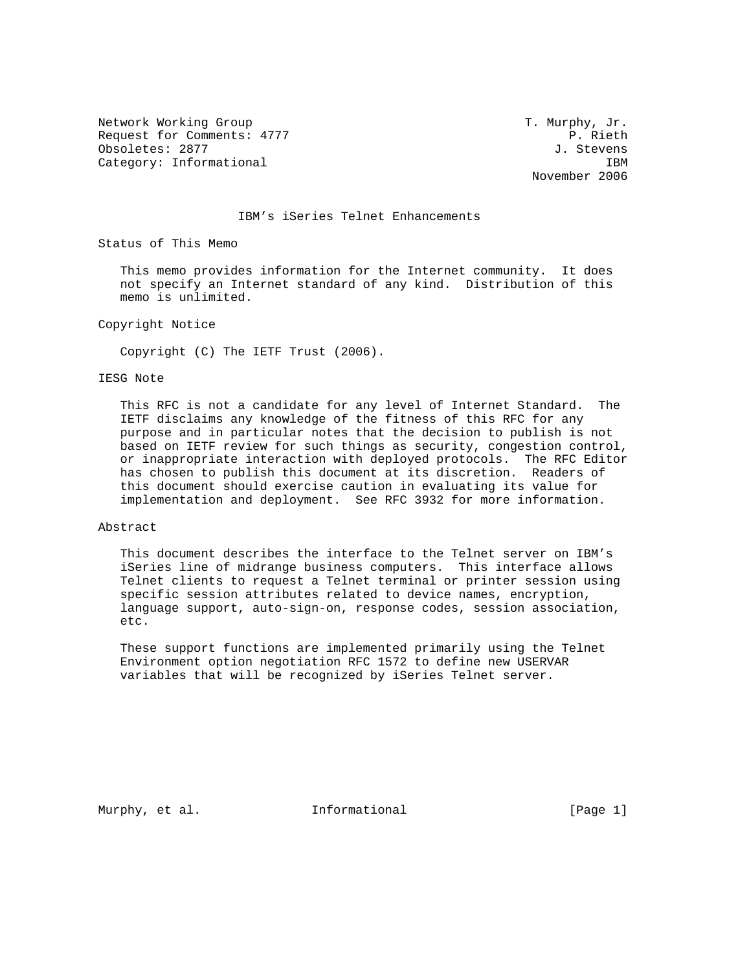Network Working Group T. Murphy, Jr. Request for Comments: 4777 P. Rieth Obsoletes: 2877 J. Stevens Category: Informational interest of the set of the set of the set of the set of the set of the set of the set of the set of the set of the set of the set of the set of the set of the set of the set of the set of the set of

November 2006

# IBM's iSeries Telnet Enhancements

Status of This Memo

 This memo provides information for the Internet community. It does not specify an Internet standard of any kind. Distribution of this memo is unlimited.

Copyright Notice

Copyright (C) The IETF Trust (2006).

# IESG Note

 This RFC is not a candidate for any level of Internet Standard. The IETF disclaims any knowledge of the fitness of this RFC for any purpose and in particular notes that the decision to publish is not based on IETF review for such things as security, congestion control, or inappropriate interaction with deployed protocols. The RFC Editor has chosen to publish this document at its discretion. Readers of this document should exercise caution in evaluating its value for implementation and deployment. See RFC 3932 for more information.

#### Abstract

 This document describes the interface to the Telnet server on IBM's iSeries line of midrange business computers. This interface allows Telnet clients to request a Telnet terminal or printer session using specific session attributes related to device names, encryption, language support, auto-sign-on, response codes, session association, etc.

 These support functions are implemented primarily using the Telnet Environment option negotiation RFC 1572 to define new USERVAR variables that will be recognized by iSeries Telnet server.

Murphy, et al. **Informational** [Page 1]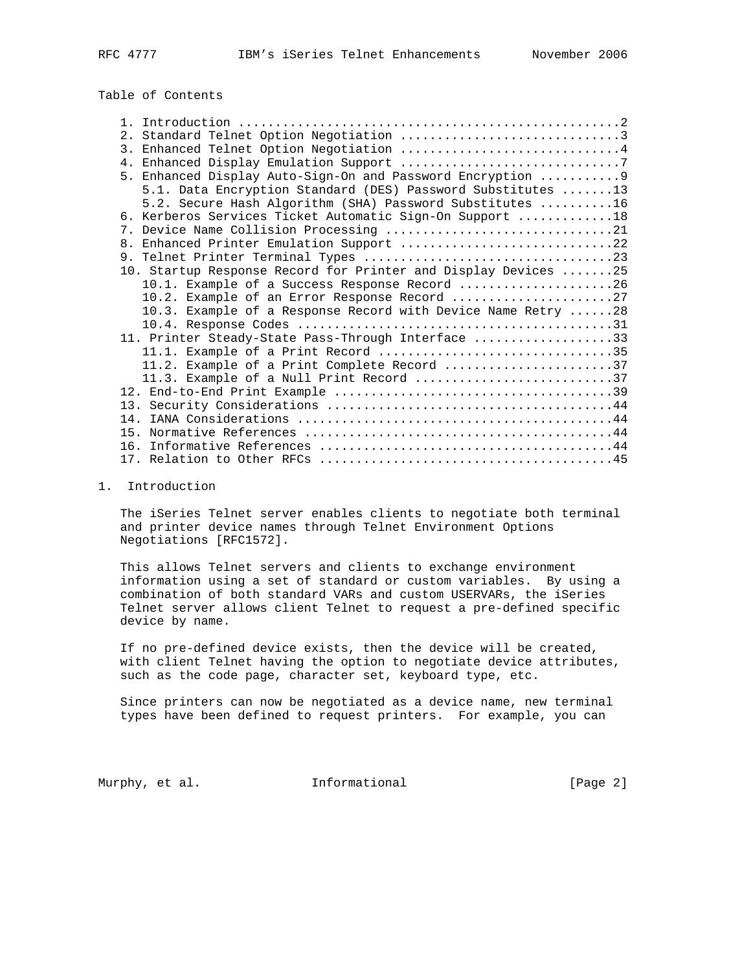# Table of Contents

| 2. Standard Telnet Option Negotiation 3                        |
|----------------------------------------------------------------|
| 3. Enhanced Telnet Option Negotiation 4                        |
|                                                                |
| 5. Enhanced Display Auto-Sign-On and Password Encryption  9    |
| 5.1. Data Encryption Standard (DES) Password Substitutes 13    |
| 5.2. Secure Hash Algorithm (SHA) Password Substitutes 16       |
| 6. Kerberos Services Ticket Automatic Sign-On Support 18       |
| 7. Device Name Collision Processing 21                         |
| 8. Enhanced Printer Emulation Support 22                       |
|                                                                |
| 10. Startup Response Record for Printer and Display Devices 25 |
| 10.1. Example of a Success Response Record 26                  |
| 10.2. Example of an Error Response Record 27                   |
| 10.3. Example of a Response Record with Device Name Retry 28   |
|                                                                |
| 11. Printer Steady-State Pass-Through Interface 33             |
| 11.1. Example of a Print Record 35                             |
| 11.2. Example of a Print Complete Record 37                    |
| 11.3. Example of a Null Print Record 37                        |
|                                                                |
|                                                                |
|                                                                |
|                                                                |
|                                                                |
|                                                                |

### 1. Introduction

 The iSeries Telnet server enables clients to negotiate both terminal and printer device names through Telnet Environment Options Negotiations [RFC1572].

 This allows Telnet servers and clients to exchange environment information using a set of standard or custom variables. By using a combination of both standard VARs and custom USERVARs, the iSeries Telnet server allows client Telnet to request a pre-defined specific device by name.

 If no pre-defined device exists, then the device will be created, with client Telnet having the option to negotiate device attributes, such as the code page, character set, keyboard type, etc.

 Since printers can now be negotiated as a device name, new terminal types have been defined to request printers. For example, you can

Murphy, et al. 1nformational 1999 [Page 2]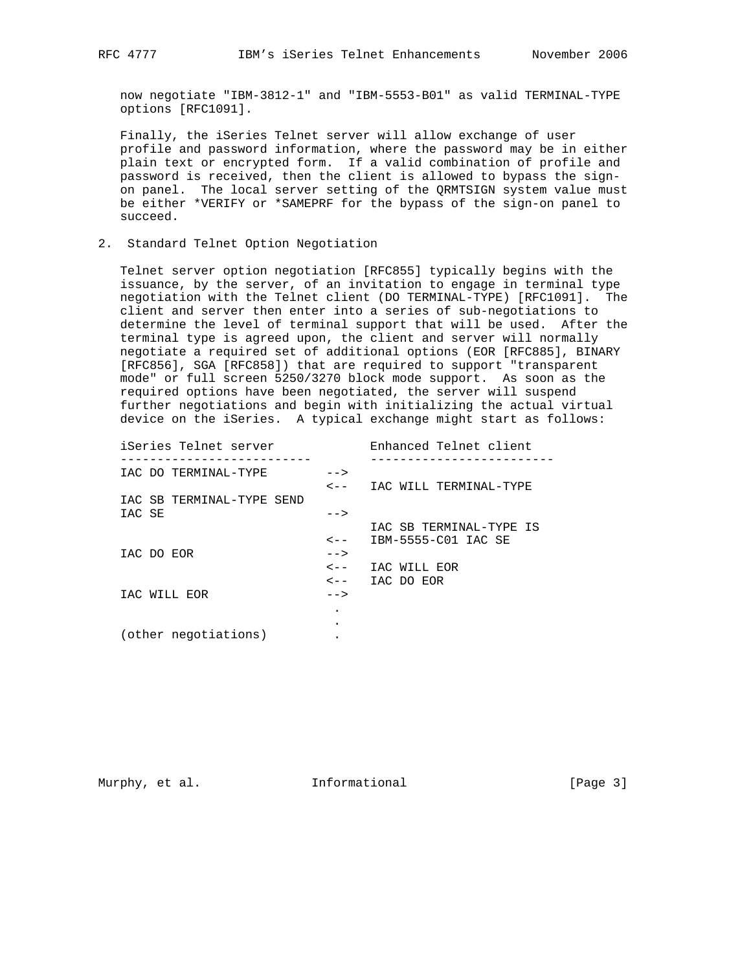now negotiate "IBM-3812-1" and "IBM-5553-B01" as valid TERMINAL-TYPE options [RFC1091].

 Finally, the iSeries Telnet server will allow exchange of user profile and password information, where the password may be in either plain text or encrypted form. If a valid combination of profile and password is received, then the client is allowed to bypass the sign on panel. The local server setting of the QRMTSIGN system value must be either \*VERIFY or \*SAMEPRF for the bypass of the sign-on panel to succeed.

### 2. Standard Telnet Option Negotiation

 Telnet server option negotiation [RFC855] typically begins with the issuance, by the server, of an invitation to engage in terminal type negotiation with the Telnet client (DO TERMINAL-TYPE) [RFC1091]. The client and server then enter into a series of sub-negotiations to determine the level of terminal support that will be used. After the terminal type is agreed upon, the client and server will normally negotiate a required set of additional options (EOR [RFC885], BINARY [RFC856], SGA [RFC858]) that are required to support "transparent mode" or full screen 5250/3270 block mode support. As soon as the required options have been negotiated, the server will suspend further negotiations and begin with initializing the actual virtual device on the iSeries. A typical exchange might start as follows:

 iSeries Telnet server Enhanced Telnet client -------------------------- ------------------------- IAC DO TERMINAL-TYPE --> <-- IAC WILL TERMINAL-TYPE IAC SB TERMINAL-TYPE SEND  $IAC SE$  --> IAC SB TERMINAL-TYPE IS <-- IBM-5555-C01 IAC SE IAC DO EOR --> <-- IAC WILL EOR <-- IAC DO EOR IAC WILL EOR --> . **.** The contract of the contract of the contract of the contract of the contract of the contract of the contract of (other negotiations) .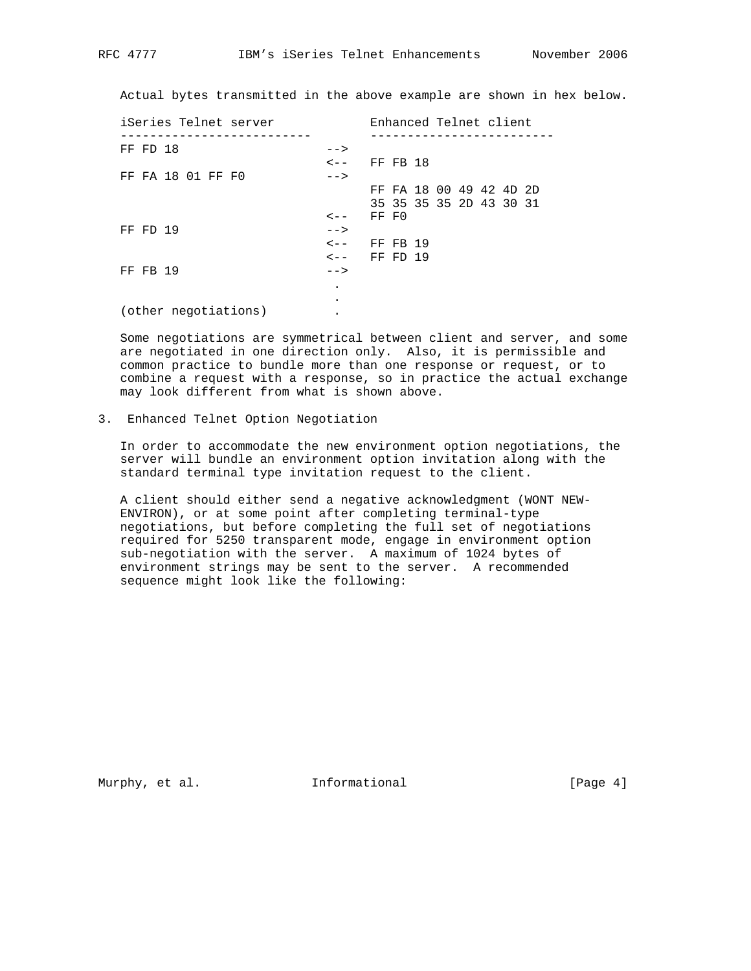Actual bytes transmitted in the above example are shown in hex below.

| iSeries Telnet server |           | Enhanced Telnet client  |  |  |  |
|-----------------------|-----------|-------------------------|--|--|--|
| FF FD 18              | $--$      |                         |  |  |  |
|                       | $\lt$ $-$ | FF FB 18                |  |  |  |
| FF FA 18 01 FF F0     | $--$      |                         |  |  |  |
|                       |           | FF FA 18 00 49 42 4D 2D |  |  |  |
|                       |           | 35 35 35 35 2D 43 30 31 |  |  |  |
|                       | $\lt$ $-$ | FF FO                   |  |  |  |
| FF FD 19              | $--$      |                         |  |  |  |
|                       | $\lt$ $-$ | FF FB 19                |  |  |  |
|                       | $\lt$ $-$ | FF FD 19                |  |  |  |
| FF FB 19              | $--$      |                         |  |  |  |
|                       |           |                         |  |  |  |
|                       |           |                         |  |  |  |
| (other negotiations)  |           |                         |  |  |  |

 Some negotiations are symmetrical between client and server, and some are negotiated in one direction only. Also, it is permissible and common practice to bundle more than one response or request, or to combine a request with a response, so in practice the actual exchange may look different from what is shown above.

# 3. Enhanced Telnet Option Negotiation

 In order to accommodate the new environment option negotiations, the server will bundle an environment option invitation along with the standard terminal type invitation request to the client.

 A client should either send a negative acknowledgment (WONT NEW- ENVIRON), or at some point after completing terminal-type negotiations, but before completing the full set of negotiations required for 5250 transparent mode, engage in environment option sub-negotiation with the server. A maximum of 1024 bytes of environment strings may be sent to the server. A recommended sequence might look like the following:

Murphy, et al. **Informational** [Page 4]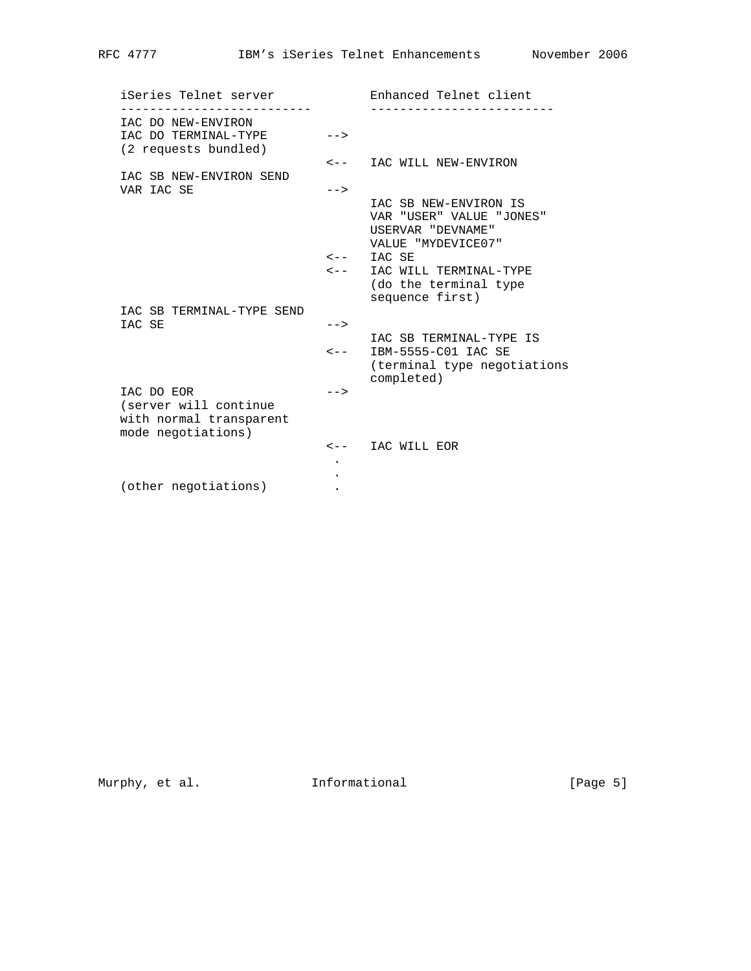iSeries Telnet server Technanced Telnet client -------------------------- ------------------------- IAC DO NEW-ENVIRON IAC DO TERMINAL-TYPE --> (2 requests bundled) <-- IAC WILL NEW-ENVIRON IAC SB NEW-ENVIRON SEND VAR IAC SE  $\leftarrow$  IAC SB NEW-ENVIRON IS VAR "USER" VALUE "JONES" USERVAR "DEVNAME" VALUE "MYDEVICE07"  $\leftarrow -$  IAC SE <-- IAC WILL TERMINAL-TYPE (do the terminal type sequence first) IAC SB TERMINAL-TYPE SEND  $IAC SE$  --> IAC SB TERMINAL-TYPE IS <-- IBM-5555-C01 IAC SE (terminal type negotiations completed) IAC DO EOR --> (server will continue with normal transparent mode negotiations) <-- IAC WILL EOR **.** The contract of the contract of the contract of the contract of the contract of the contract of the contract of **.** The contract of the contract of the contract of the contract of the contract of the contract of the contract of (other negotiations) .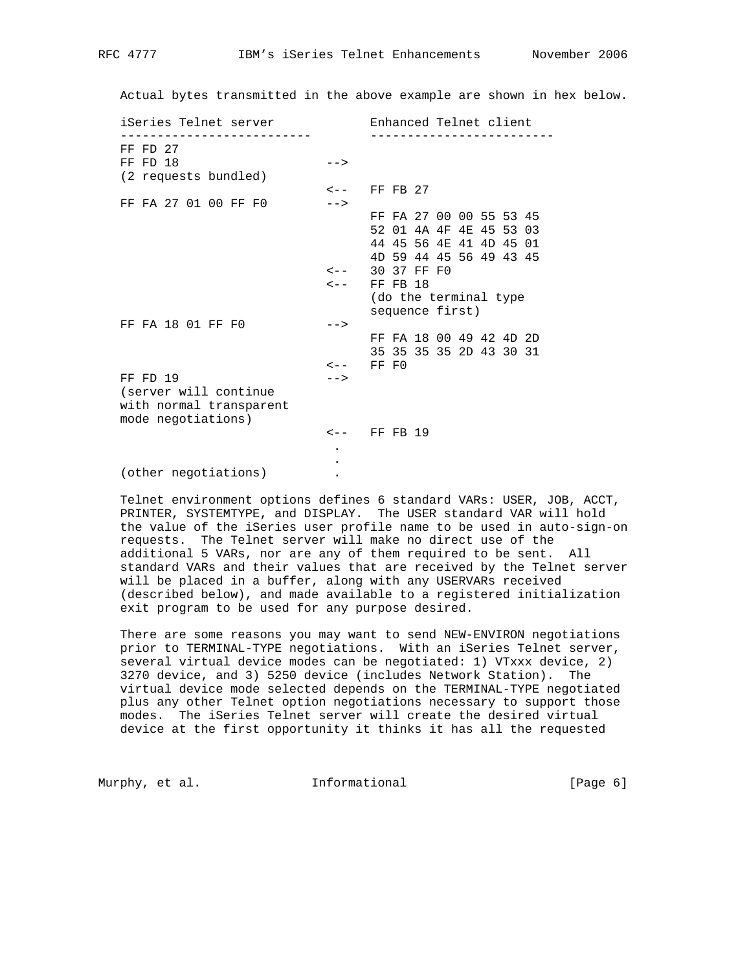Actual bytes transmitted in the above example are shown in hex below.

| iSeries Telnet server   |           | Enhanced Telnet client  |
|-------------------------|-----------|-------------------------|
| $FF$ $FD$ $27$          |           |                         |
| FF FD 18                | $--$      |                         |
| (2 requests bundled)    |           |                         |
|                         |           | $\leftarrow -$ FF FB 27 |
| FF FA 27 01 00 FF F0    | $--$      |                         |
|                         |           | FF FA 27 00 00 55 53 45 |
|                         |           | 52 01 4A 4F 4E 45 53 03 |
|                         |           | 44 45 56 4E 41 4D 45 01 |
|                         |           | 4D 59 44 45 56 49 43 45 |
|                         | $\lt$ $-$ | 30 37 FF F0             |
|                         | $\lt$ $-$ | FF FB 18                |
|                         |           | (do the terminal type   |
|                         |           | sequence first)         |
| FF FA 18 01 FF F0       | $--$      |                         |
|                         |           | FF FA 18 00 49 42 4D 2D |
|                         |           | 35 35 35 35 2D 43 30 31 |
|                         |           | $\leftarrow -$ FF FO    |
| FF FD 19                | $--$      |                         |
| (server will continue   |           |                         |
| with normal transparent |           |                         |
| mode negotiations)      |           |                         |
|                         |           | $\leftarrow -$ FF FB 19 |
|                         |           |                         |
|                         |           |                         |
|                         |           |                         |

 Telnet environment options defines 6 standard VARs: USER, JOB, ACCT, PRINTER, SYSTEMTYPE, and DISPLAY. The USER standard VAR will hold the value of the iSeries user profile name to be used in auto-sign-on requests. The Telnet server will make no direct use of the additional 5 VARs, nor are any of them required to be sent. All standard VARs and their values that are received by the Telnet server will be placed in a buffer, along with any USERVARs received (described below), and made available to a registered initialization exit program to be used for any purpose desired.

 There are some reasons you may want to send NEW-ENVIRON negotiations prior to TERMINAL-TYPE negotiations. With an iSeries Telnet server, several virtual device modes can be negotiated: 1) VTxxx device, 2) 3270 device, and 3) 5250 device (includes Network Station). The virtual device mode selected depends on the TERMINAL-TYPE negotiated plus any other Telnet option negotiations necessary to support those modes. The iSeries Telnet server will create the desired virtual device at the first opportunity it thinks it has all the requested

Murphy, et al. **Informational** [Page 6]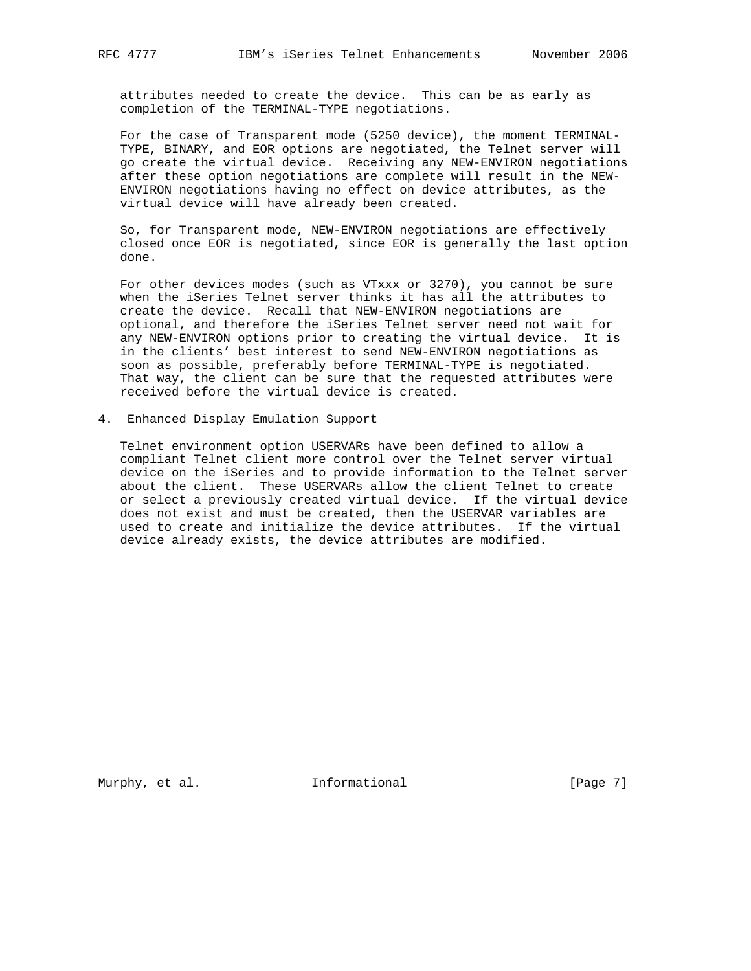attributes needed to create the device. This can be as early as completion of the TERMINAL-TYPE negotiations.

 For the case of Transparent mode (5250 device), the moment TERMINAL- TYPE, BINARY, and EOR options are negotiated, the Telnet server will go create the virtual device. Receiving any NEW-ENVIRON negotiations after these option negotiations are complete will result in the NEW- ENVIRON negotiations having no effect on device attributes, as the virtual device will have already been created.

 So, for Transparent mode, NEW-ENVIRON negotiations are effectively closed once EOR is negotiated, since EOR is generally the last option done.

 For other devices modes (such as VTxxx or 3270), you cannot be sure when the iSeries Telnet server thinks it has all the attributes to create the device. Recall that NEW-ENVIRON negotiations are optional, and therefore the iSeries Telnet server need not wait for any NEW-ENVIRON options prior to creating the virtual device. It is in the clients' best interest to send NEW-ENVIRON negotiations as soon as possible, preferably before TERMINAL-TYPE is negotiated. That way, the client can be sure that the requested attributes were received before the virtual device is created.

4. Enhanced Display Emulation Support

 Telnet environment option USERVARs have been defined to allow a compliant Telnet client more control over the Telnet server virtual device on the iSeries and to provide information to the Telnet server about the client. These USERVARs allow the client Telnet to create or select a previously created virtual device. If the virtual device does not exist and must be created, then the USERVAR variables are used to create and initialize the device attributes. If the virtual device already exists, the device attributes are modified.

Murphy, et al. 1nformational 1999 [Page 7]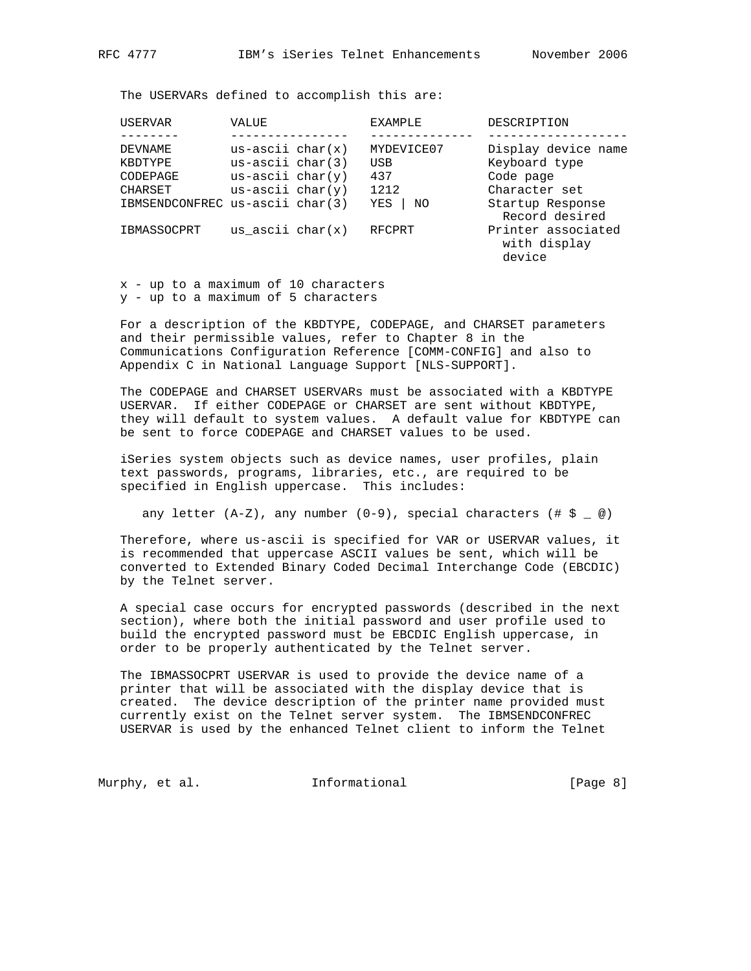The USERVARs defined to accomplish this are:

| USERVAR                         | VALUE                | <b>EXAMPLE</b> | DESCRIPTION                                  |
|---------------------------------|----------------------|----------------|----------------------------------------------|
|                                 |                      |                |                                              |
| DEVNAME                         | $us - ascii char(x)$ | MYDEVICE07     | Display device name                          |
| KBDTYPE                         | $us - ascii char(3)$ | USB            | Keyboard type                                |
| CODEPAGE                        | $us - ascii char(y)$ | 437            | Code page                                    |
| CHARSET                         | $us - ascii char(y)$ | 1212           | Character set                                |
| IBMSENDCONFREC us-ascii char(3) |                      | YES<br>ΝO      | Startup Response<br>Record desired           |
| IBMASSOCPRT                     | us ascii $char(x)$   | RFCPRT         | Printer associated<br>with display<br>device |

 x - up to a maximum of 10 characters y - up to a maximum of 5 characters

 For a description of the KBDTYPE, CODEPAGE, and CHARSET parameters and their permissible values, refer to Chapter 8 in the Communications Configuration Reference [COMM-CONFIG] and also to Appendix C in National Language Support [NLS-SUPPORT].

 The CODEPAGE and CHARSET USERVARs must be associated with a KBDTYPE USERVAR. If either CODEPAGE or CHARSET are sent without KBDTYPE, they will default to system values. A default value for KBDTYPE can be sent to force CODEPAGE and CHARSET values to be used.

 iSeries system objects such as device names, user profiles, plain text passwords, programs, libraries, etc., are required to be specified in English uppercase. This includes:

any letter  $(A-Z)$ , any number  $(0-9)$ , special characters  $(\# S \_ \emptyset)$ 

 Therefore, where us-ascii is specified for VAR or USERVAR values, it is recommended that uppercase ASCII values be sent, which will be converted to Extended Binary Coded Decimal Interchange Code (EBCDIC) by the Telnet server.

 A special case occurs for encrypted passwords (described in the next section), where both the initial password and user profile used to build the encrypted password must be EBCDIC English uppercase, in order to be properly authenticated by the Telnet server.

 The IBMASSOCPRT USERVAR is used to provide the device name of a printer that will be associated with the display device that is created. The device description of the printer name provided must currently exist on the Telnet server system. The IBMSENDCONFREC USERVAR is used by the enhanced Telnet client to inform the Telnet

Murphy, et al. **Informational** [Page 8]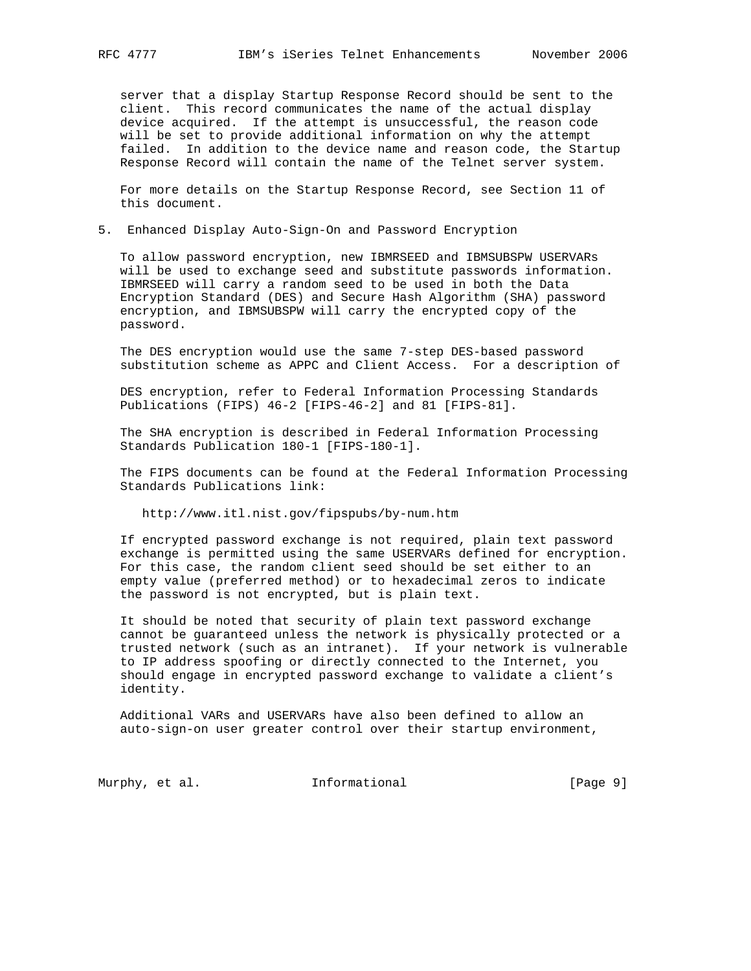server that a display Startup Response Record should be sent to the client. This record communicates the name of the actual display device acquired. If the attempt is unsuccessful, the reason code will be set to provide additional information on why the attempt failed. In addition to the device name and reason code, the Startup Response Record will contain the name of the Telnet server system.

 For more details on the Startup Response Record, see Section 11 of this document.

### 5. Enhanced Display Auto-Sign-On and Password Encryption

 To allow password encryption, new IBMRSEED and IBMSUBSPW USERVARs will be used to exchange seed and substitute passwords information. IBMRSEED will carry a random seed to be used in both the Data Encryption Standard (DES) and Secure Hash Algorithm (SHA) password encryption, and IBMSUBSPW will carry the encrypted copy of the password.

 The DES encryption would use the same 7-step DES-based password substitution scheme as APPC and Client Access. For a description of

 DES encryption, refer to Federal Information Processing Standards Publications (FIPS) 46-2 [FIPS-46-2] and 81 [FIPS-81].

 The SHA encryption is described in Federal Information Processing Standards Publication 180-1 [FIPS-180-1].

 The FIPS documents can be found at the Federal Information Processing Standards Publications link:

http://www.itl.nist.gov/fipspubs/by-num.htm

 If encrypted password exchange is not required, plain text password exchange is permitted using the same USERVARs defined for encryption. For this case, the random client seed should be set either to an empty value (preferred method) or to hexadecimal zeros to indicate the password is not encrypted, but is plain text.

 It should be noted that security of plain text password exchange cannot be guaranteed unless the network is physically protected or a trusted network (such as an intranet). If your network is vulnerable to IP address spoofing or directly connected to the Internet, you should engage in encrypted password exchange to validate a client's identity.

 Additional VARs and USERVARs have also been defined to allow an auto-sign-on user greater control over their startup environment,

Murphy, et al. **Informational** [Page 9]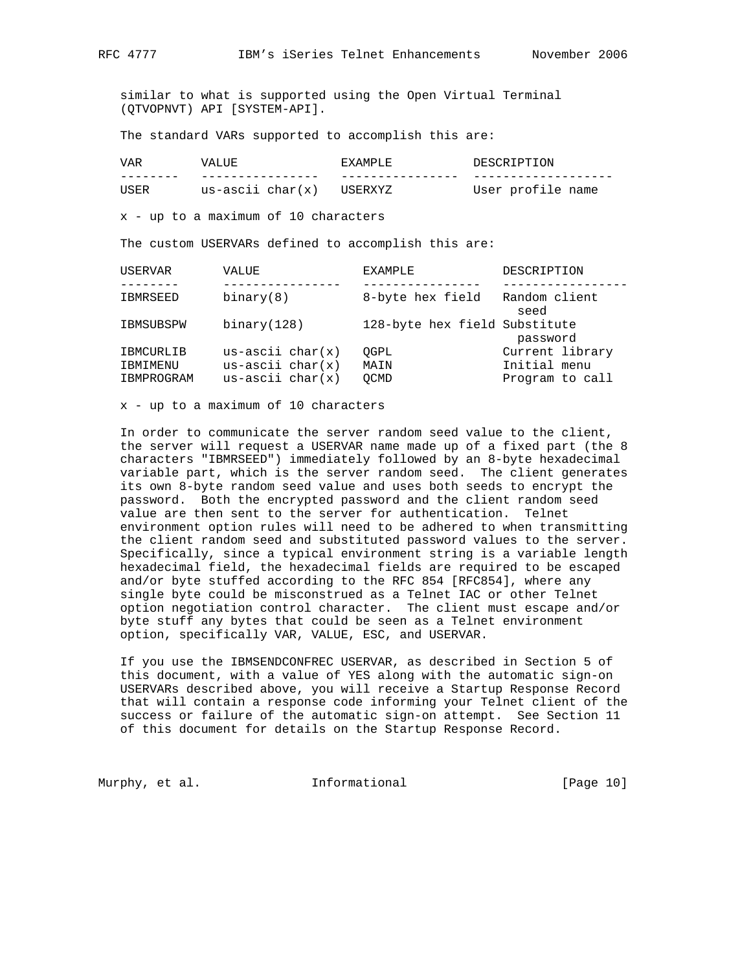similar to what is supported using the Open Virtual Terminal (QTVOPNVT) API [SYSTEM-API].

The standard VARs supported to accomplish this are:

| 7AR  |                     | : A M D I . H:   | ΟN<br>דידים דו איזא אר  |
|------|---------------------|------------------|-------------------------|
|      |                     | __               |                         |
| ™SEk | us-ascii char $(x)$ | 1 I S F R X Y 7. | profile<br>User<br>name |

x - up to a maximum of 10 characters

The custom USERVARs defined to accomplish this are:

| USERVAR                | VALUE                                        | <b>EXAMPLE</b>                | DESCRIPTION                     |
|------------------------|----------------------------------------------|-------------------------------|---------------------------------|
|                        |                                              |                               |                                 |
| <b>IBMRSEED</b>        | binary(8)                                    | 8-byte hex field              | Random client<br>seed           |
| IBMSUBSPW              | binary(128)                                  | 128-byte hex field Substitute | password                        |
| IBMCURLIB              | $us - ascii char(x)$                         | OGPL                          | Current library                 |
| IBMIMENU<br>IBMPROGRAM | $us - ascii char(x)$<br>$us - ascii char(x)$ | MAIN<br>OCMD                  | Initial menu<br>Program to call |

x - up to a maximum of 10 characters

 In order to communicate the server random seed value to the client, the server will request a USERVAR name made up of a fixed part (the 8 characters "IBMRSEED") immediately followed by an 8-byte hexadecimal variable part, which is the server random seed. The client generates its own 8-byte random seed value and uses both seeds to encrypt the password. Both the encrypted password and the client random seed value are then sent to the server for authentication. Telnet environment option rules will need to be adhered to when transmitting the client random seed and substituted password values to the server. Specifically, since a typical environment string is a variable length hexadecimal field, the hexadecimal fields are required to be escaped and/or byte stuffed according to the RFC 854 [RFC854], where any single byte could be misconstrued as a Telnet IAC or other Telnet option negotiation control character. The client must escape and/or byte stuff any bytes that could be seen as a Telnet environment option, specifically VAR, VALUE, ESC, and USERVAR.

 If you use the IBMSENDCONFREC USERVAR, as described in Section 5 of this document, with a value of YES along with the automatic sign-on USERVARs described above, you will receive a Startup Response Record that will contain a response code informing your Telnet client of the success or failure of the automatic sign-on attempt. See Section 11 of this document for details on the Startup Response Record.

Murphy, et al. **Informational** [Page 10]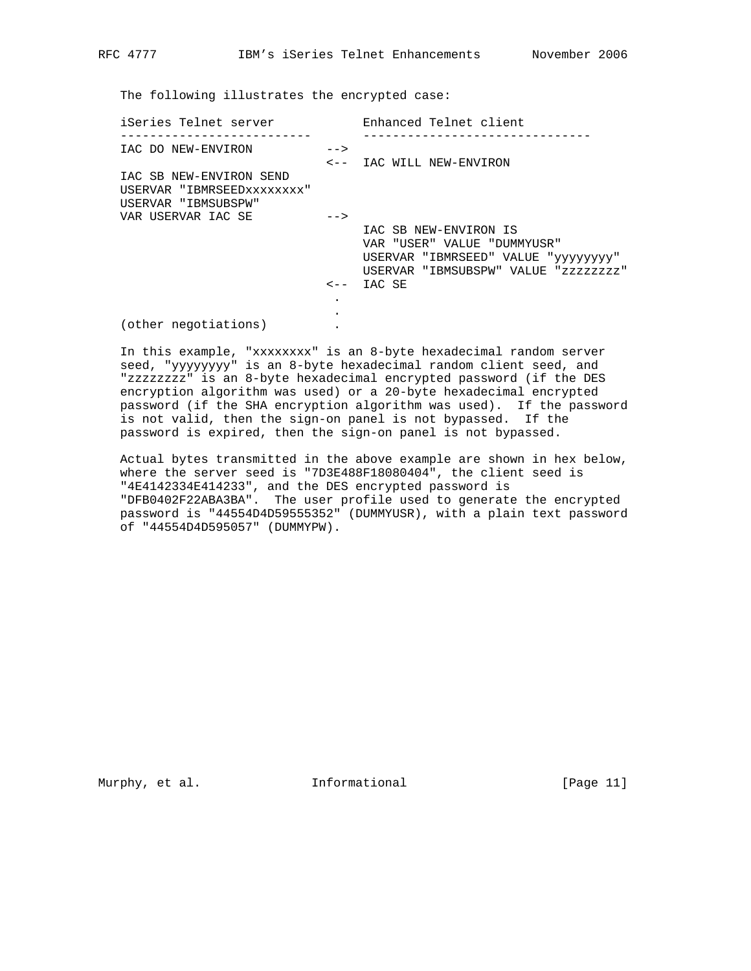The following illustrates the encrypted case:

| iSeries Telnet server                                                        |                          | Enhanced Telnet client                                                                                                                        |
|------------------------------------------------------------------------------|--------------------------|-----------------------------------------------------------------------------------------------------------------------------------------------|
| IAC DO NEW-ENVIRON                                                           | $--$                     |                                                                                                                                               |
| IAC SB NEW-ENVIRON SEND<br>USERVAR "IBMRSEEDxxxxxxxx"<br>USERVAR "IBMSUBSPW" |                          | <-- IAC WILL NEW-ENVIRON                                                                                                                      |
| VAR USERVAR IAC SE                                                           | $--$<br>$\leftarrow$ $-$ | IAC SB NEW-ENVIRON IS<br>VAR "USER" VALUE "DUMMYUSR"<br>USERVAR "IBMRSEED" VALUE "yyyyyyyy"<br>USERVAR "IBMSUBSPW" VALUE "zzzzzzzz"<br>IAC SE |
| (other negotiations)                                                         | $\bullet$                |                                                                                                                                               |

 In this example, "xxxxxxxx" is an 8-byte hexadecimal random server seed, "yyyyyyyy" is an 8-byte hexadecimal random client seed, and "zzzzzzzz" is an 8-byte hexadecimal encrypted password (if the DES encryption algorithm was used) or a 20-byte hexadecimal encrypted password (if the SHA encryption algorithm was used). If the password is not valid, then the sign-on panel is not bypassed. If the password is expired, then the sign-on panel is not bypassed.

 Actual bytes transmitted in the above example are shown in hex below, where the server seed is "7D3E488F18080404", the client seed is "4E4142334E414233", and the DES encrypted password is "DFB0402F22ABA3BA". The user profile used to generate the encrypted password is "44554D4D59555352" (DUMMYUSR), with a plain text password of "44554D4D595057" (DUMMYPW).

Murphy, et al. 10 Informational 10 [Page 11]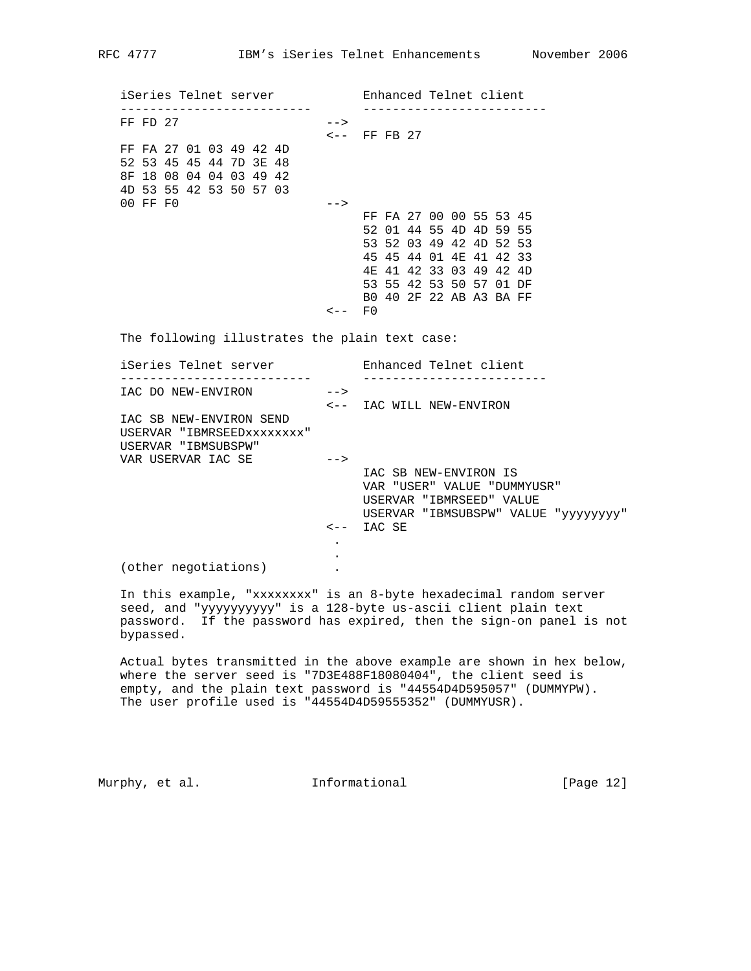iSeries Telnet server Enhanced Telnet client -------------------------- ------------------------- FF FD  $27$  --> <-- FF FB 27 FF FA 27 01 03 49 42 4D 52 53 45 45 44 7D 3E 48 8F 18 08 04 04 03 49 42 4D 53 55 42 53 50 57 03 00 FF F0 --> FF FA 27 00 00 55 53 45 52 01 44 55 4D 4D 59 55 53 52 03 49 42 4D 52 53 45 45 44 01 4E 41 42 33 4E 41 42 33 03 49 42 4D 53 55 42 53 50 57 01 DF B0 40 2F 22 AB A3 BA FF  $\leftarrow -$  FO The following illustrates the plain text case: iSeries Telnet server Enhanced Telnet client -------------------------- ------------------------- IAC DO NEW-ENVIRON --> <-- IAC WILL NEW-ENVIRON IAC SB NEW-ENVIRON SEND USERVAR "IBMRSEEDxxxxxxxx" USERVAR "IBMSUBSPW" VAR USERVAR IAC SE --> IAC SB NEW-ENVIRON IS VAR "USER" VALUE "DUMMYUSR" USERVAR "IBMRSEED" VALUE USERVAR "IBMSUBSPW" VALUE "yyyyyyyy" <-- IAC SE **.** The contract of the contract of the contract of the contract of the contract of the contract of the contract of **.** The contract of the contract of the contract of the contract of the contract of the contract of the contract of

(other negotiations) .

 In this example, "xxxxxxxx" is an 8-byte hexadecimal random server seed, and "yyyyyyyyyy" is a 128-byte us-ascii client plain text password. If the password has expired, then the sign-on panel is not bypassed.

 Actual bytes transmitted in the above example are shown in hex below, where the server seed is "7D3E488F18080404", the client seed is empty, and the plain text password is "44554D4D595057" (DUMMYPW). The user profile used is "44554D4D59555352" (DUMMYUSR).

Murphy, et al. **Informational** [Page 12]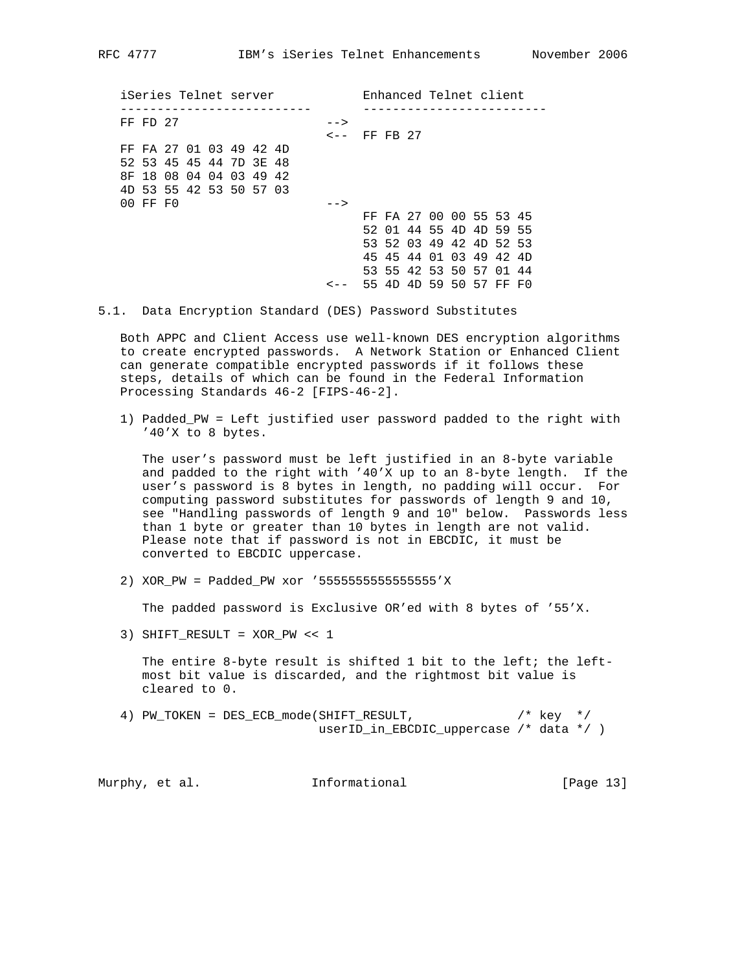iSeries Telnet server Enhanced Telnet client -------------------------- ------------------------- FF FD  $27$  --> <-- FF FB 27 FF FA 27 01 03 49 42 4D 52 53 45 45 44 7D 3E 48 8F 18 08 04 04 03 49 42 4D 53 55 42 53 50 57 03 00 FF F0 --> FF FA 27 00 00 55 53 45 52 01 44 55 4D 4D 59 55 53 52 03 49 42 4D 52 53 45 45 44 01 03 49 42 4D 53 55 42 53 50 57 01 44 <-- 55 4D 4D 59 50 57 FF F0

5.1. Data Encryption Standard (DES) Password Substitutes

 Both APPC and Client Access use well-known DES encryption algorithms to create encrypted passwords. A Network Station or Enhanced Client can generate compatible encrypted passwords if it follows these steps, details of which can be found in the Federal Information Processing Standards 46-2 [FIPS-46-2].

 1) Padded\_PW = Left justified user password padded to the right with '40'X to 8 bytes.

 The user's password must be left justified in an 8-byte variable and padded to the right with '40'X up to an 8-byte length. If the user's password is 8 bytes in length, no padding will occur. For computing password substitutes for passwords of length 9 and 10, see "Handling passwords of length 9 and 10" below. Passwords less than 1 byte or greater than 10 bytes in length are not valid. Please note that if password is not in EBCDIC, it must be converted to EBCDIC uppercase.

2) XOR\_PW = Padded\_PW xor '5555555555555555'X

The padded password is Exclusive OR'ed with 8 bytes of '55'X.

3) SHIFT\_RESULT = XOR\_PW << 1

 The entire 8-byte result is shifted 1 bit to the left; the left most bit value is discarded, and the rightmost bit value is cleared to 0.

 4) PW\_TOKEN = DES\_ECB\_mode(SHIFT\_RESULT, /\* key \*/ userID\_in\_EBCDIC\_uppercase /\* data \*/ )

| Murphy, et al. |  | Informational | [Page $13$ ] |  |
|----------------|--|---------------|--------------|--|
|                |  |               |              |  |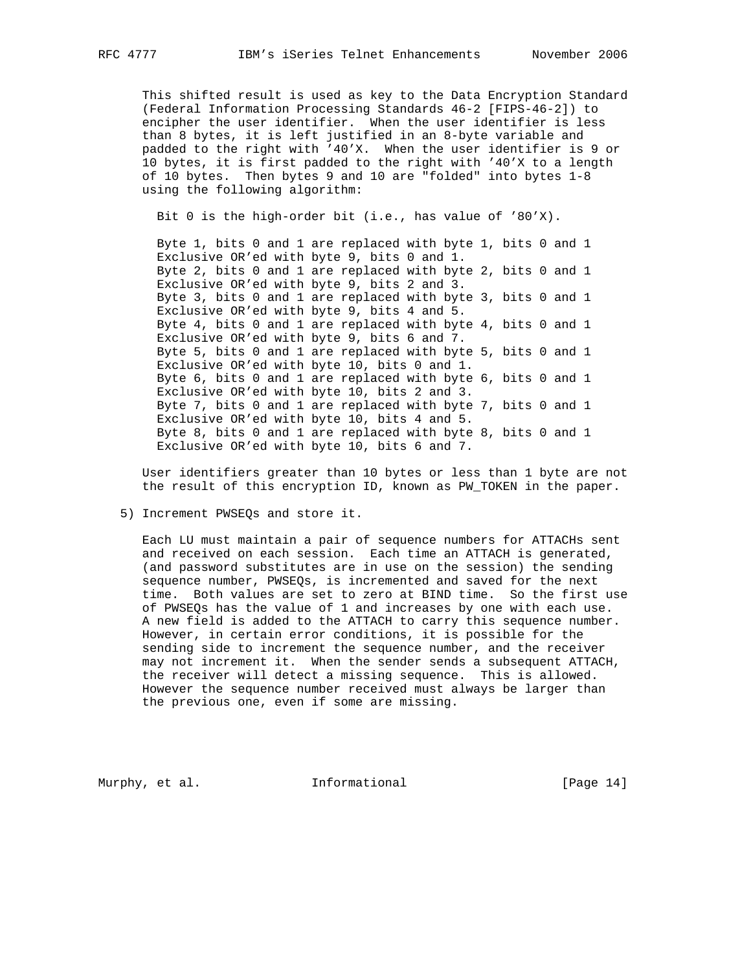This shifted result is used as key to the Data Encryption Standard (Federal Information Processing Standards 46-2 [FIPS-46-2]) to encipher the user identifier. When the user identifier is less than 8 bytes, it is left justified in an 8-byte variable and padded to the right with '40'X. When the user identifier is 9 or 10 bytes, it is first padded to the right with '40'X to a length of 10 bytes. Then bytes 9 and 10 are "folded" into bytes 1-8 using the following algorithm:

Bit 0 is the high-order bit (i.e., has value of '80'X).

 Byte 1, bits 0 and 1 are replaced with byte 1, bits 0 and 1 Exclusive OR'ed with byte 9, bits 0 and 1. Byte 2, bits 0 and 1 are replaced with byte 2, bits 0 and 1 Exclusive OR'ed with byte 9, bits 2 and 3. Byte 3, bits 0 and 1 are replaced with byte 3, bits 0 and 1 Exclusive OR'ed with byte 9, bits 4 and 5. Byte 4, bits 0 and 1 are replaced with byte 4, bits 0 and 1 Exclusive OR'ed with byte 9, bits 6 and 7. Byte 5, bits 0 and 1 are replaced with byte 5, bits 0 and 1 Exclusive OR'ed with byte 10, bits 0 and 1. Byte 6, bits 0 and 1 are replaced with byte 6, bits 0 and 1 Exclusive OR'ed with byte 10, bits 2 and 3. Byte 7, bits 0 and 1 are replaced with byte 7, bits 0 and 1 Exclusive OR'ed with byte 10, bits 4 and 5. Byte 8, bits 0 and 1 are replaced with byte 8, bits 0 and 1 Exclusive OR'ed with byte 10, bits 6 and 7.

 User identifiers greater than 10 bytes or less than 1 byte are not the result of this encryption ID, known as PW\_TOKEN in the paper.

5) Increment PWSEQs and store it.

 Each LU must maintain a pair of sequence numbers for ATTACHs sent and received on each session. Each time an ATTACH is generated, (and password substitutes are in use on the session) the sending sequence number, PWSEQs, is incremented and saved for the next time. Both values are set to zero at BIND time. So the first use of PWSEQs has the value of 1 and increases by one with each use. A new field is added to the ATTACH to carry this sequence number. However, in certain error conditions, it is possible for the sending side to increment the sequence number, and the receiver may not increment it. When the sender sends a subsequent ATTACH, the receiver will detect a missing sequence. This is allowed. However the sequence number received must always be larger than the previous one, even if some are missing.

Murphy, et al. **Informational** [Page 14]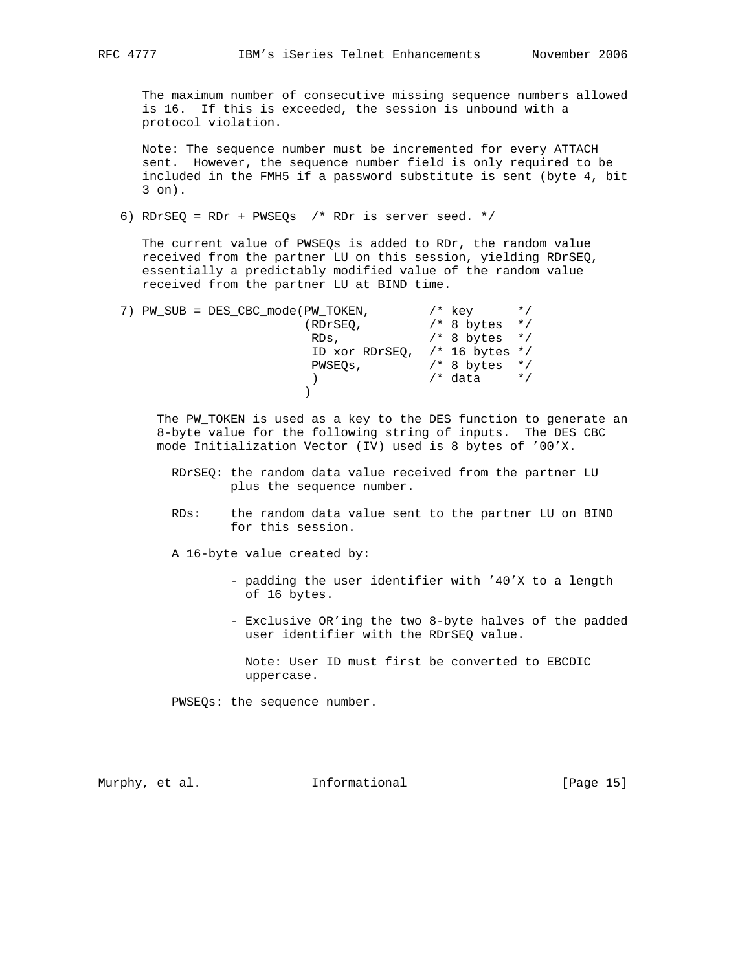The maximum number of consecutive missing sequence numbers allowed is 16. If this is exceeded, the session is unbound with a protocol violation.

 Note: The sequence number must be incremented for every ATTACH sent. However, the sequence number field is only required to be included in the FMH5 if a password substitute is sent (byte 4, bit 3 on).

6) RDrSEQ = RDr + PWSEQs /\* RDr is server seed. \*/

 The current value of PWSEQs is added to RDr, the random value received from the partner LU on this session, yielding RDrSEQ, essentially a predictably modified value of the random value received from the partner LU at BIND time.

| 7) PW SUB = DES CBC mode (PW TOKEN, | /* kev           | $\star$ / |
|-------------------------------------|------------------|-----------|
| (RDrSEO,                            | $/* 8 bytes * /$ |           |
| RDs,                                | $/* 8 bytes */$  |           |
| ID xor RDrSEQ, $/*$ 16 bytes $*/$   |                  |           |
| PWSEOs,                             | $/* 8 bytes * /$ |           |
|                                     | /* data          | $\star$ / |
|                                     |                  |           |

 The PW\_TOKEN is used as a key to the DES function to generate an 8-byte value for the following string of inputs. The DES CBC mode Initialization Vector (IV) used is 8 bytes of '00'X.

- RDrSEQ: the random data value received from the partner LU plus the sequence number.
- RDs: the random data value sent to the partner LU on BIND for this session.
- A 16-byte value created by:
	- padding the user identifier with '40'X to a length of 16 bytes.
	- Exclusive OR'ing the two 8-byte halves of the padded user identifier with the RDrSEQ value.

 Note: User ID must first be converted to EBCDIC uppercase.

PWSEQs: the sequence number.

Murphy, et al. **Informational** [Page 15]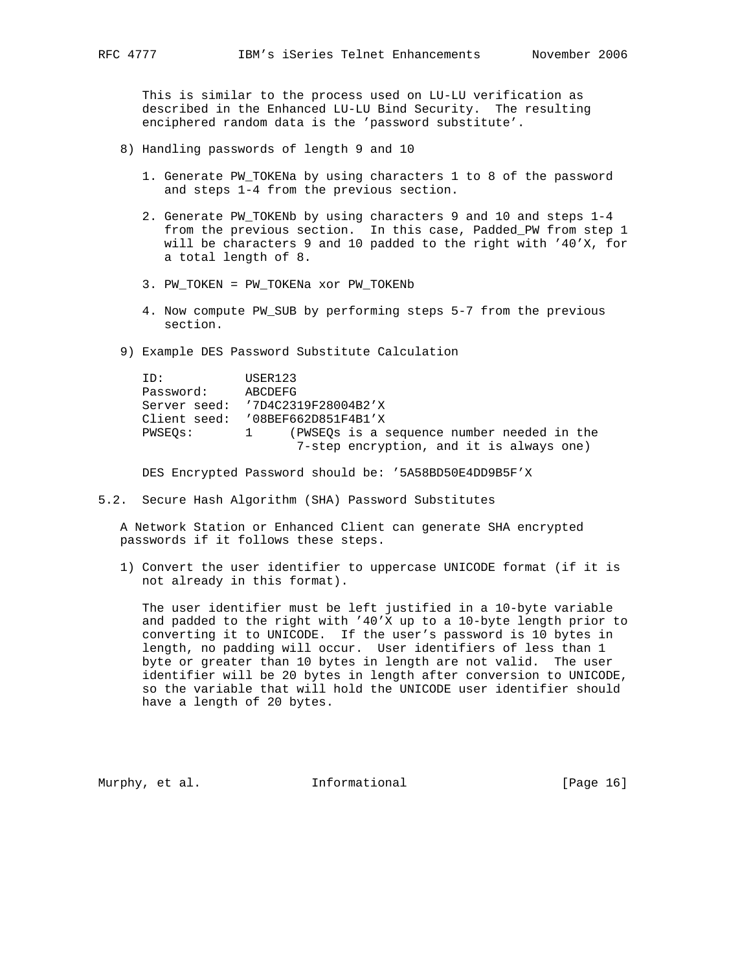This is similar to the process used on LU-LU verification as described in the Enhanced LU-LU Bind Security. The resulting enciphered random data is the 'password substitute'.

- 8) Handling passwords of length 9 and 10
	- 1. Generate PW\_TOKENa by using characters 1 to 8 of the password and steps 1-4 from the previous section.
	- 2. Generate PW TOKENb by using characters 9 and 10 and steps 1-4 from the previous section. In this case, Padded\_PW from step 1 will be characters 9 and 10 padded to the right with '40'X, for a total length of 8.
	- 3. PW\_TOKEN = PW\_TOKENa xor PW\_TOKENb
	- 4. Now compute PW\_SUB by performing steps 5-7 from the previous section.

9) Example DES Password Substitute Calculation

| TD:       | USER123                                    |
|-----------|--------------------------------------------|
| Password: | ABCDEFG                                    |
|           | Server seed: '7D4C2319F28004B2'X           |
|           | Client seed: '08BEF662D851F4B1'X           |
| PWSEOs:   | (PWSEOs is a sequence number needed in the |
|           | 7-step encryption, and it is always one)   |

DES Encrypted Password should be: '5A58BD50E4DD9B5F'X

5.2. Secure Hash Algorithm (SHA) Password Substitutes

 A Network Station or Enhanced Client can generate SHA encrypted passwords if it follows these steps.

 1) Convert the user identifier to uppercase UNICODE format (if it is not already in this format).

 The user identifier must be left justified in a 10-byte variable and padded to the right with '40'X up to a 10-byte length prior to converting it to UNICODE. If the user's password is 10 bytes in length, no padding will occur. User identifiers of less than 1 byte or greater than 10 bytes in length are not valid. The user identifier will be 20 bytes in length after conversion to UNICODE, so the variable that will hold the UNICODE user identifier should have a length of 20 bytes.

Murphy, et al. **Informational** [Page 16]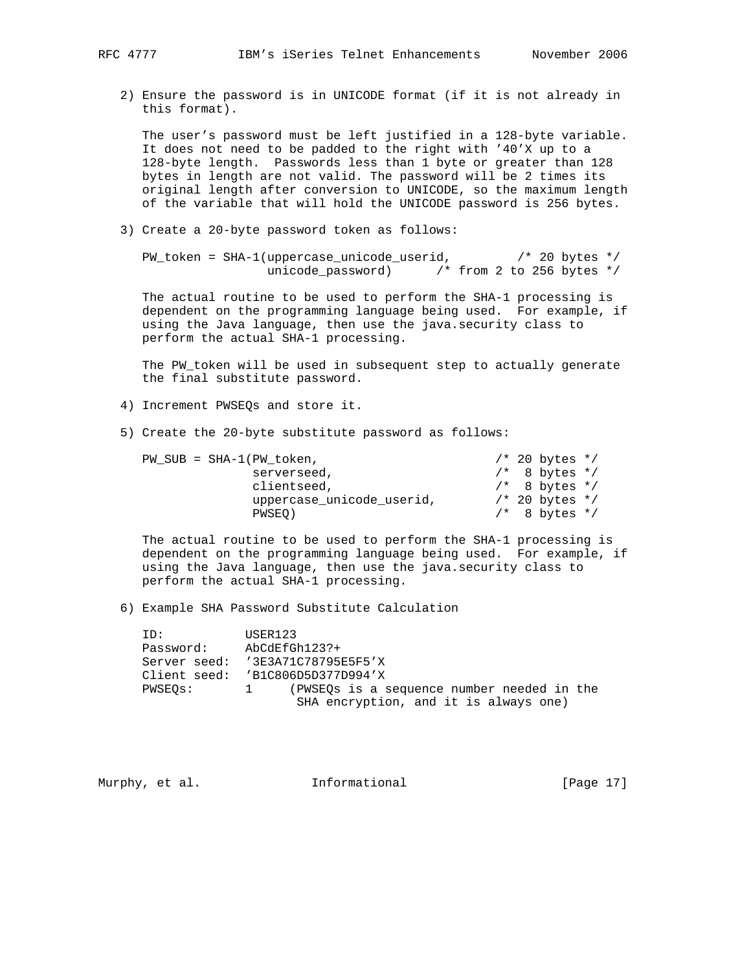2) Ensure the password is in UNICODE format (if it is not already in this format).

 The user's password must be left justified in a 128-byte variable. It does not need to be padded to the right with '40'X up to a 128-byte length. Passwords less than 1 byte or greater than 128 bytes in length are not valid. The password will be 2 times its original length after conversion to UNICODE, so the maximum length of the variable that will hold the UNICODE password is 256 bytes.

3) Create a 20-byte password token as follows:

PW\_token = SHA-1(uppercase\_unicode\_userid,  $\frac{\text{y}}{\text{x}}$  /\* 20 bytes \*/ unicode\_password) /\* from 2 to 256 bytes \*/

 The actual routine to be used to perform the SHA-1 processing is dependent on the programming language being used. For example, if using the Java language, then use the java.security class to perform the actual SHA-1 processing.

 The PW\_token will be used in subsequent step to actually generate the final substitute password.

- 4) Increment PWSEQs and store it.
- 5) Create the 20-byte substitute password as follows:

| $PW SUB = SHA-1(PW token,$ |  | $/* 20 bytes * /$ |  |
|----------------------------|--|-------------------|--|
| serverseed,                |  | $/*$ 8 bytes $*/$ |  |
| clientseed,                |  | $/*$ 8 bytes $*/$ |  |
| uppercase unicode userid,  |  | $/* 20 bytes * /$ |  |
| PWSEO)                     |  | $/*$ 8 bytes $*/$ |  |

 The actual routine to be used to perform the SHA-1 processing is dependent on the programming language being used. For example, if using the Java language, then use the java.security class to perform the actual SHA-1 processing.

6) Example SHA Password Substitute Calculation

ID: USER123<br>Password: AbCdEfGl Password: AbCdEfGh123?+ Server seed: '3E3A71C78795E5F5'X Client seed: 'B1C806D5D377D994'X PWSEQs: 1 (PWSEQs is a sequence number needed in the SHA encryption, and it is always one)

Murphy, et al. **Informational** [Page 17]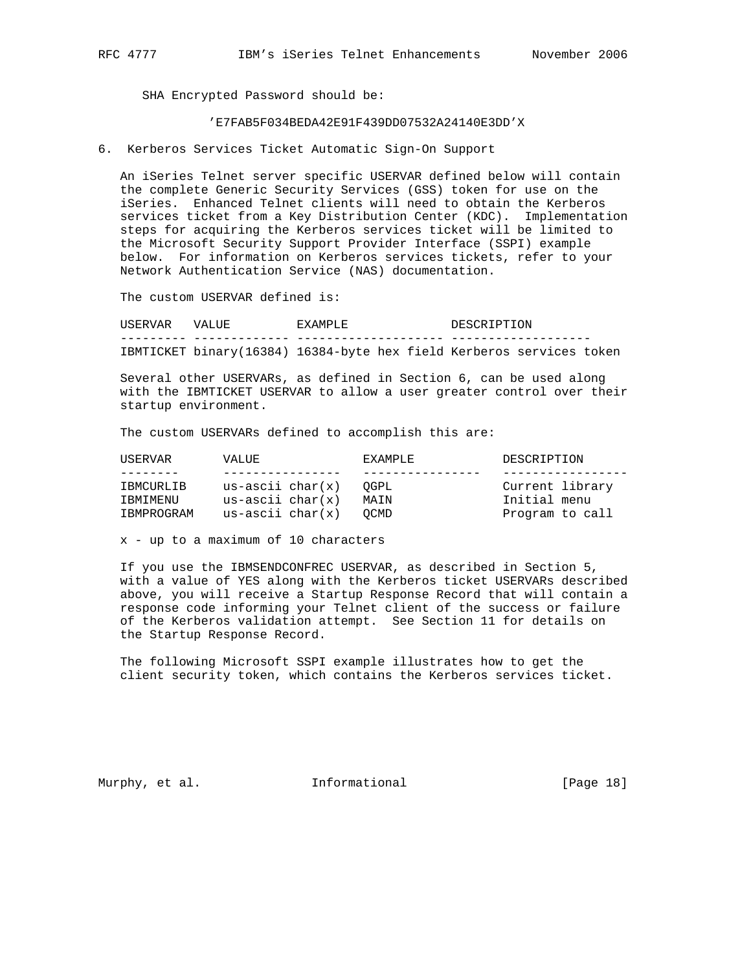SHA Encrypted Password should be:

### 'E7FAB5F034BEDA42E91F439DD07532A24140E3DD'X

6. Kerberos Services Ticket Automatic Sign-On Support

 An iSeries Telnet server specific USERVAR defined below will contain the complete Generic Security Services (GSS) token for use on the iSeries. Enhanced Telnet clients will need to obtain the Kerberos services ticket from a Key Distribution Center (KDC). Implementation steps for acquiring the Kerberos services ticket will be limited to the Microsoft Security Support Provider Interface (SSPI) example below. For information on Kerberos services tickets, refer to your Network Authentication Service (NAS) documentation.

The custom USERVAR defined is:

USERVAR VALUE EXAMPLE DESCRIPTION --------- ------------- -------------------- ------------------- IBMTICKET binary(16384) 16384-byte hex field Kerberos services token

 Several other USERVARs, as defined in Section 6, can be used along with the IBMTICKET USERVAR to allow a user greater control over their startup environment.

The custom USERVARs defined to accomplish this are:

| USERVAR    | VALUE.               | <b>FXAMPLE</b> | DESCRIPTION     |
|------------|----------------------|----------------|-----------------|
|            |                      |                |                 |
| IBMCURLIB  | us-ascii char $(x)$  | OGPL           | Current library |
| IBMIMENU   | $us - ascii char(x)$ | MATN           | Initial menu    |
| IBMPROGRAM | $us - ascii char(x)$ | OCMD.          | Program to call |

x - up to a maximum of 10 characters

 If you use the IBMSENDCONFREC USERVAR, as described in Section 5, with a value of YES along with the Kerberos ticket USERVARs described above, you will receive a Startup Response Record that will contain a response code informing your Telnet client of the success or failure of the Kerberos validation attempt. See Section 11 for details on the Startup Response Record.

 The following Microsoft SSPI example illustrates how to get the client security token, which contains the Kerberos services ticket.

Murphy, et al. 1nformational 1999 [Page 18]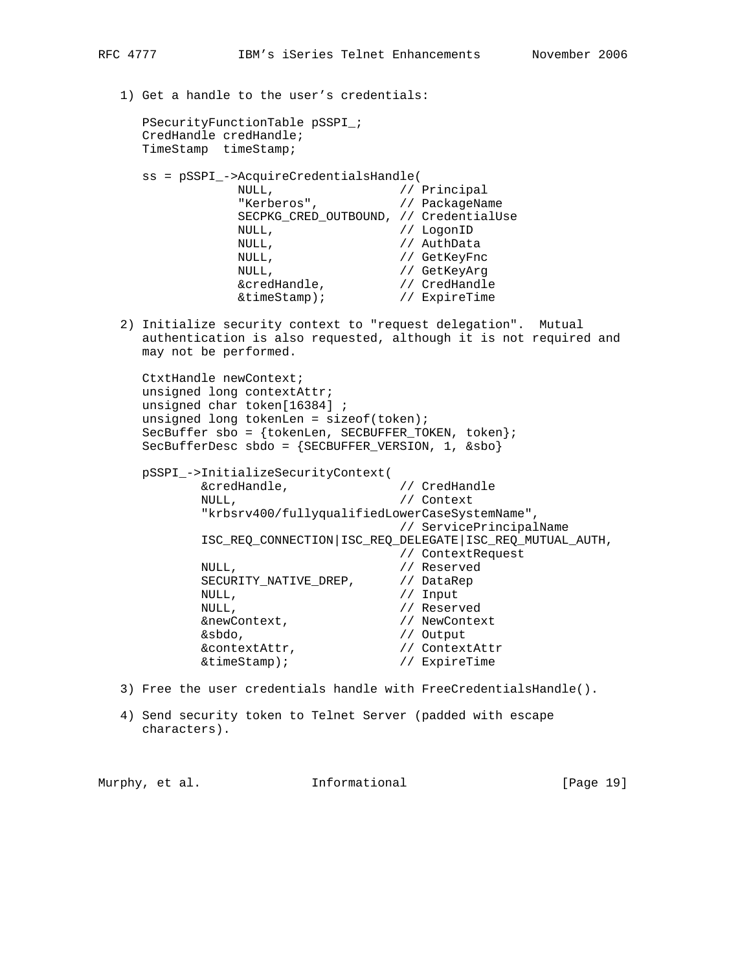1) Get a handle to the user's credentials: PSecurityFunctionTable pSSPI\_; CredHandle credHandle; TimeStamp timeStamp; ss = pSSPI\_->AcquireCredentialsHandle( NULL,  $\sqrt{2}$  // Principal "Kerberos", // PackageName SECPKG\_CRED\_OUTBOUND, // CredentialUse NULL, // LogonID NULL,<br>
NULL,<br>
// GetKeyFnc<br>
// GetKeyArg<br>
// GetKeyArg NULL, // GetKeyFnc NULL,  $\sqrt{2}$  GetKeyArg &credHandle, // CredHandle &timeStamp); // ExpireTime 2) Initialize security context to "request delegation". Mutual authentication is also requested, although it is not required and may not be performed. CtxtHandle newContext; unsigned long contextAttr; unsigned char token[16384] ; unsigned long tokenLen = sizeof(token); SecBuffer sbo = {tokenLen, SECBUFFER\_TOKEN, token}; SecBufferDesc sbdo = {SECBUFFER\_VERSION, 1, &sbo} pSSPI\_->InitializeSecurityContext( &credHandle, // CredHandle NULL,  $\sqrt{}$  // Context "krbsrv400/fullyqualifiedLowerCaseSystemName", // ServicePrincipalName ISC\_REQ\_CONNECTION|ISC\_REQ\_DELEGATE|ISC\_REQ\_MUTUAL\_AUTH, // ContextRequest<br>// Reserved NULL,  $\sqrt{2}$  Reserved SECURITY\_NATIVE\_DREP, // DataRep NULL, // Input NULL,  $\frac{1}{\sqrt{2}}$  Reserved &newContext, // NewContext Examples 2018<br>
Examples 2018<br>
Examples 2020<br>
Examples 2020<br>
Solomour 2021<br>
Contextattr<br>
2021<br>
Contextattr &contextAttr, &timeStamp); // ExpireTime 3) Free the user credentials handle with FreeCredentialsHandle().

 4) Send security token to Telnet Server (padded with escape characters).

Murphy, et al. **Informational** [Page 19]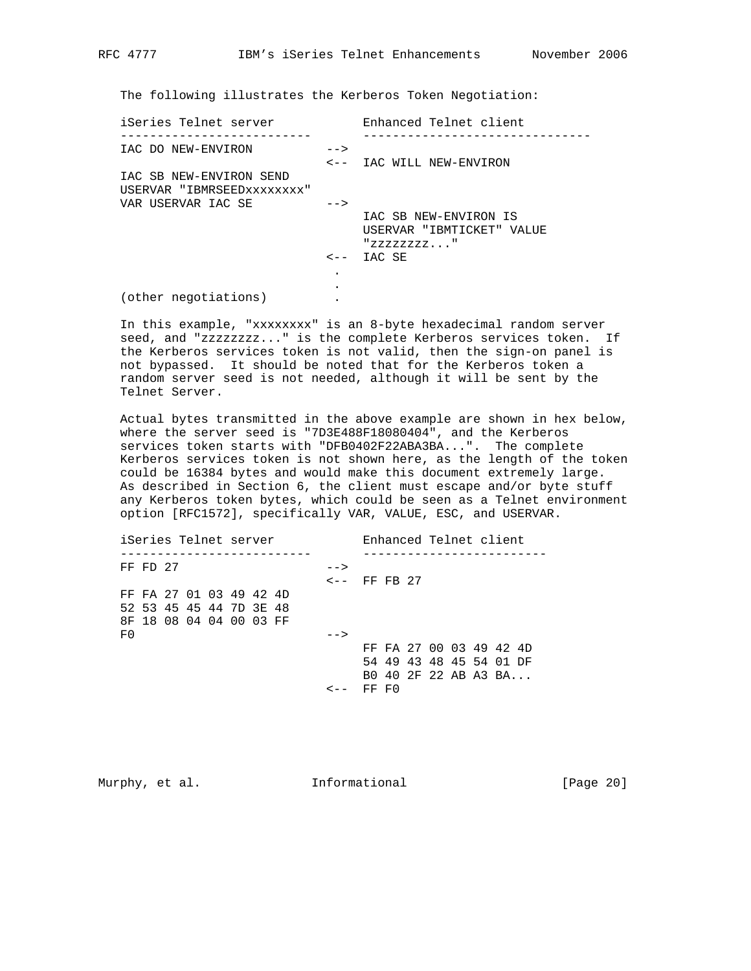The following illustrates the Kerberos Token Negotiation:

| iSeries Telnet server      |      | Enhanced Telnet client    |
|----------------------------|------|---------------------------|
| IAC DO NEW-ENVIRON         | $--$ |                           |
|                            |      | <-- IAC WILL NEW-ENVIRON  |
| IAC SB NEW-ENVIRON SEND    |      |                           |
| USERVAR "IBMRSEEDXXXXXXXX" |      |                           |
| VAR USERVAR IAC SE         | $--$ |                           |
|                            |      | IAC SB NEW-ENVIRON IS     |
|                            |      | USERVAR "IBMTICKET" VALUE |
|                            |      | "ZZZZZZZZ"                |
|                            |      | $\leftarrow -$ IAC SE     |
|                            |      |                           |
|                            |      |                           |
| (other negotiations)       |      |                           |

 In this example, "xxxxxxxx" is an 8-byte hexadecimal random server seed, and "zzzzzzzz..." is the complete Kerberos services token. If the Kerberos services token is not valid, then the sign-on panel is not bypassed. It should be noted that for the Kerberos token a random server seed is not needed, although it will be sent by the Telnet Server.

 Actual bytes transmitted in the above example are shown in hex below, where the server seed is "7D3E488F18080404", and the Kerberos services token starts with "DFB0402F22ABA3BA...". The complete Kerberos services token is not shown here, as the length of the token could be 16384 bytes and would make this document extremely large. As described in Section 6, the client must escape and/or byte stuff any Kerberos token bytes, which could be seen as a Telnet environment option [RFC1572], specifically VAR, VALUE, ESC, and USERVAR.

| iSeries Telnet server   |      | Enhanced Telnet client  |
|-------------------------|------|-------------------------|
| FF FD 27                | $--$ |                         |
|                         |      | $\leftarrow -$ FF FB 27 |
| FF FA 27 01 03 49 42 4D |      |                         |
| 52 53 45 45 44 7D 3E 48 |      |                         |
| 8F 18 08 04 04 00 03 FF |      |                         |
| F0                      | $--$ |                         |
|                         |      | FF FA 27 00 03 49 42 4D |
|                         |      | 54 49 43 48 45 54 01 DF |
|                         |      | B0 40 2F 22 AB A3 BA    |
|                         |      | FF FO                   |

Murphy, et al. 1nformational 1999 [Page 20]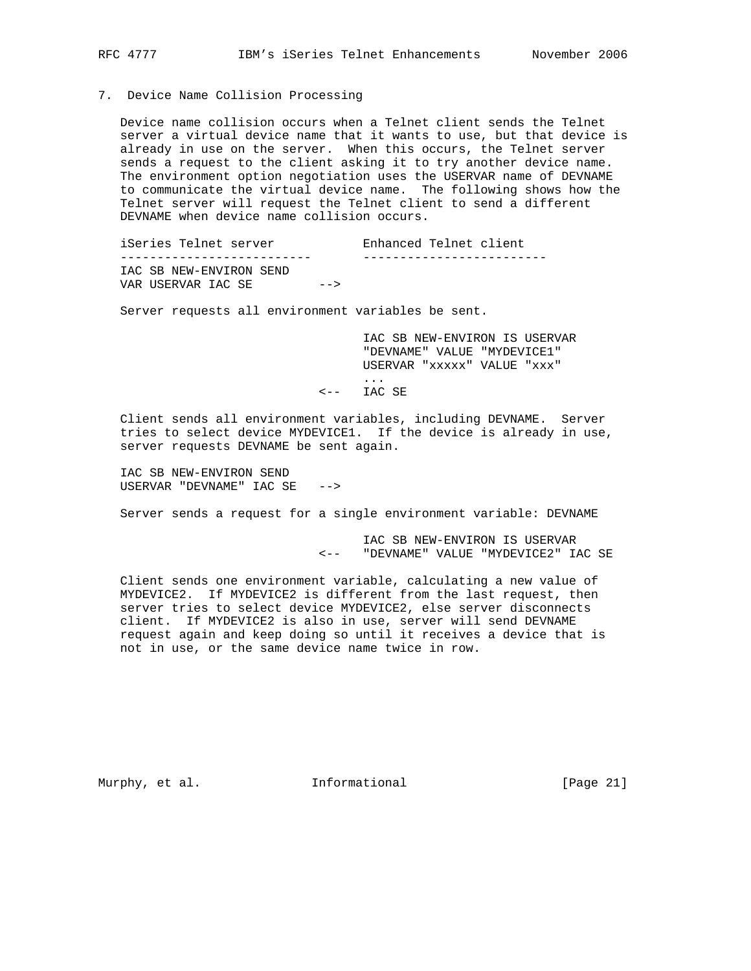7. Device Name Collision Processing

 Device name collision occurs when a Telnet client sends the Telnet server a virtual device name that it wants to use, but that device is already in use on the server. When this occurs, the Telnet server sends a request to the client asking it to try another device name. The environment option negotiation uses the USERVAR name of DEVNAME to communicate the virtual device name. The following shows how the Telnet server will request the Telnet client to send a different DEVNAME when device name collision occurs.

iSeries Telnet server Tenhanced Telnet client -------------------------- ------------------------- IAC SB NEW-ENVIRON SEND VAR USERVAR IAC SE -->

Server requests all environment variables be sent.

 IAC SB NEW-ENVIRON IS USERVAR "DEVNAME" VALUE "MYDEVICE1" USERVAR "xxxxx" VALUE "xxx" ...

<-- IAC SE

 Client sends all environment variables, including DEVNAME. Server tries to select device MYDEVICE1. If the device is already in use, server requests DEVNAME be sent again.

 IAC SB NEW-ENVIRON SEND USERVAR "DEVNAME" IAC SE -->

Server sends a request for a single environment variable: DEVNAME

 IAC SB NEW-ENVIRON IS USERVAR <-- "DEVNAME" VALUE "MYDEVICE2" IAC SE

 Client sends one environment variable, calculating a new value of MYDEVICE2. If MYDEVICE2 is different from the last request, then server tries to select device MYDEVICE2, else server disconnects client. If MYDEVICE2 is also in use, server will send DEVNAME request again and keep doing so until it receives a device that is not in use, or the same device name twice in row.

Murphy, et al. **Informational** [Page 21]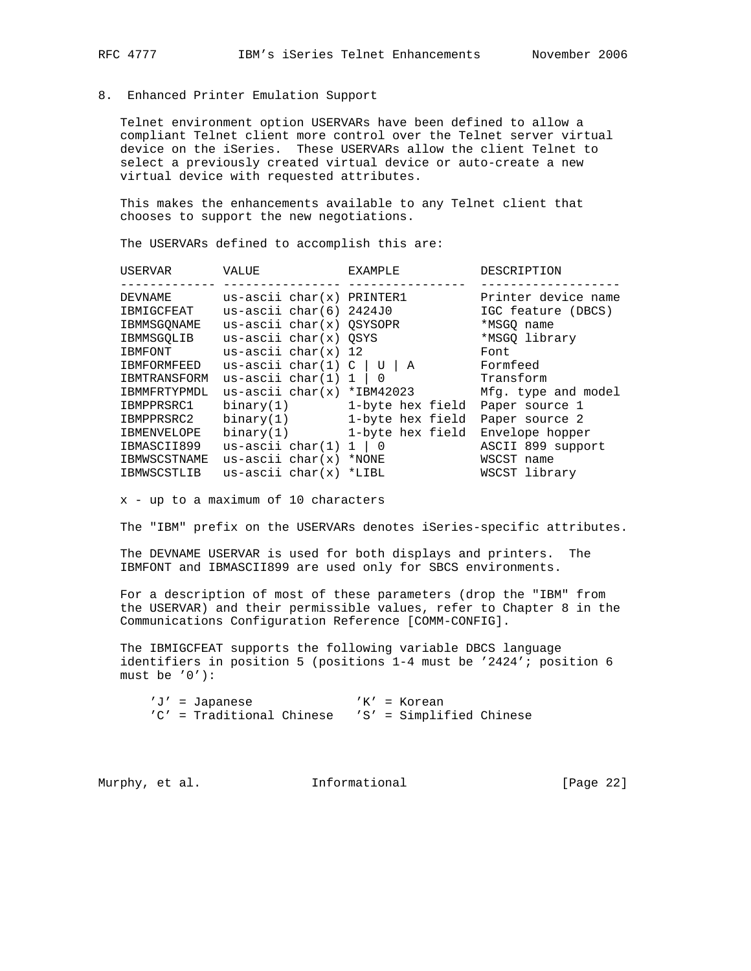### 8. Enhanced Printer Emulation Support

 Telnet environment option USERVARs have been defined to allow a compliant Telnet client more control over the Telnet server virtual device on the iSeries. These USERVARs allow the client Telnet to select a previously created virtual device or auto-create a new virtual device with requested attributes.

 This makes the enhancements available to any Telnet client that chooses to support the new negotiations.

The USERVARs defined to accomplish this are:

| USERVAR            | VALUE                                     | EXAMPLE                       | DESCRIPTION         |
|--------------------|-------------------------------------------|-------------------------------|---------------------|
|                    |                                           |                               |                     |
| DEVNAME            | $us\text{-}ascii\text{ char}(x)$ PRINTER1 |                               | Printer device name |
| IBMIGCFEAT         | us-ascii $char(6)$ 2424J0                 |                               | IGC feature (DBCS)  |
| IBMMSGONAME        | $us - ascii char(x) OSYSOPR$              |                               | *MSGO name          |
| IBMMSGOLIB         | $us - ascii char(x) OSYS$                 |                               | *MSGO library       |
| IBMFONT            | us-ascii char $(x)$ 12                    |                               | Font                |
| <b>IBMFORMFEED</b> | us-ascii char $(1)$ C                     | U<br>A                        | Formfeed            |
| IBMTRANSFORM       | us-ascii char $(1)$ 1                     | 0                             | Transform           |
| IBMMFRTYPMDL       | us-ascii $char(x) * IBM42023$             |                               | Mfg. type and model |
| IBMPPRSRC1         | binary(1)                                 | 1-byte hex field              | Paper source 1      |
| IBMPPRSRC2         | binary(1)                                 | 1-byte hex field              | Paper source 2      |
| <b>IBMENVELOPE</b> | binary(1)                                 | 1-byte hex field              | Envelope hopper     |
| IBMASCII899        | us-ascii $char(1)$                        | $\overline{\phantom{0}}$<br>1 | ASCII 899 support   |
| IBMWSCSTNAME       | $us - ascii char(x)$                      | *NONE                         | WSCST name          |
| IBMWSCSTLIB        | us-ascii char $(x)$                       | $*$ LIBL                      | WSCST library       |
|                    |                                           |                               |                     |

x - up to a maximum of 10 characters

The "IBM" prefix on the USERVARs denotes iSeries-specific attributes.

 The DEVNAME USERVAR is used for both displays and printers. The IBMFONT and IBMASCII899 are used only for SBCS environments.

 For a description of most of these parameters (drop the "IBM" from the USERVAR) and their permissible values, refer to Chapter 8 in the Communications Configuration Reference [COMM-CONFIG].

 The IBMIGCFEAT supports the following variable DBCS language identifiers in position 5 (positions 1-4 must be '2424'; position 6 must be '0'):

 'J' = Japanese 'K' = Korean 'C' = Traditional Chinese 'S' = Simplified Chinese

Murphy, et al. **Informational** [Page 22]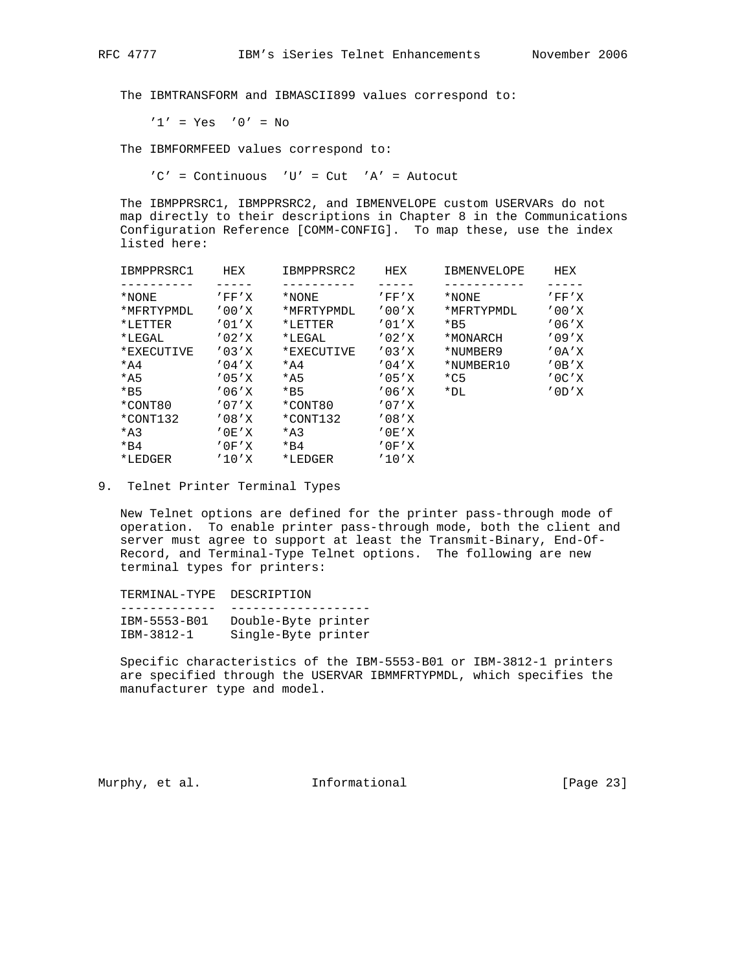The IBMTRANSFORM and IBMASCII899 values correspond to:

 $'1' = Yes$  '0' = No

The IBMFORMFEED values correspond to:

'C' = Continuous 'U' = Cut 'A' = Autocut

 The IBMPPRSRC1, IBMPPRSRC2, and IBMENVELOPE custom USERVARs do not map directly to their descriptions in Chapter 8 in the Communications Configuration Reference [COMM-CONFIG]. To map these, use the index listed here:

| IBMPPRSRC1 | HEX              | IBMPPRSRC2      | HEX          | IBMENVELOPE | HEX           |
|------------|------------------|-----------------|--------------|-------------|---------------|
|            |                  |                 |              |             |               |
| *NONE      | $'$ FF $'$ X     | *NONE           | $'$ FF $'$ X | *NONE       | $'$ FF $'$ X  |
| *MFRTYPMDL | '00'X            | *MFRTYPMDL      | '00'X        | *MFRTYPMDL  | '00'X         |
| *LETTER    | '01'X            | *LETTER         | '01'X        | $*B5$       | '06'X         |
| $*LEGAL$   | '02'X            | $*LEGAL$        | '02'X        | *MONARCH    | '09'X         |
| *EXECUTIVE | '03'X            | *EXECUTIVE      | '03'X        | *NUMBER9    | $'$ 0 A $'$ X |
| $*A4$      | '04'X            | $*A4$           | '04'X        | *NUMBER10   | $'$ 0 B $'$ X |
| $*A5$      | '05'X            | $*A5$           | '05'X        | $*$ C5      | $'$ OC $'$ X  |
| $*B5$      | '06'X            | $*B5$           | '06'X        | *DL.        | $'$ OD $'$ X  |
| *CONT80    | '07'X            | *CONT80         | '07'X        |             |               |
| *CONT132   | '08'X            | *CONT132        | '08'X        |             |               |
| $*A3$      | $'$ OE $'$ X     | $*_{\text{A}3}$ | '0E'X        |             |               |
| $*_{B4}$   | $'$ $0$ $F'$ $X$ | $*_{B4}$        | $'$ OF $'$ X |             |               |
| *LEDGER    | '10'X            | *LEDGER         | '10'X        |             |               |
|            |                  |                 |              |             |               |

9. Telnet Printer Terminal Types

 New Telnet options are defined for the printer pass-through mode of operation. To enable printer pass-through mode, both the client and server must agree to support at least the Transmit-Binary, End-Of- Record, and Terminal-Type Telnet options. The following are new terminal types for printers:

| TERMINAL-TYPE DESCRIPTION |                     |
|---------------------------|---------------------|
|                           |                     |
| IBM-5553-B01              | Double-Byte printer |
| IBM-3812-1                | Single-Byte printer |

 Specific characteristics of the IBM-5553-B01 or IBM-3812-1 printers are specified through the USERVAR IBMMFRTYPMDL, which specifies the manufacturer type and model.

Murphy, et al. **Informational** [Page 23]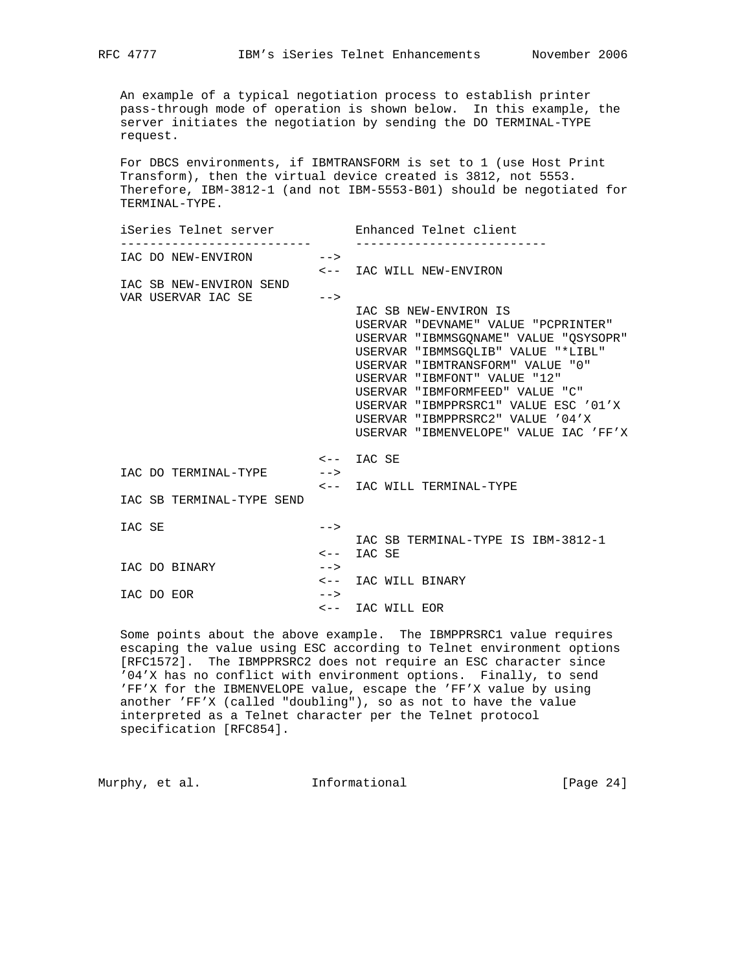An example of a typical negotiation process to establish printer pass-through mode of operation is shown below. In this example, the server initiates the negotiation by sending the DO TERMINAL-TYPE request.

 For DBCS environments, if IBMTRANSFORM is set to 1 (use Host Print Transform), then the virtual device created is 3812, not 5553. Therefore, IBM-3812-1 (and not IBM-5553-B01) should be negotiated for TERMINAL-TYPE.

| iSeries Telnet server     |        | Enhanced Telnet client                |
|---------------------------|--------|---------------------------------------|
| IAC DO NEW-ENVIRON -->    |        |                                       |
|                           |        | <-- IAC WILL NEW-ENVIRON              |
| IAC SB NEW-ENVIRON SEND   |        |                                       |
| VAR USERVAR IAC SE        | $--$   |                                       |
|                           |        | IAC SB NEW-ENVIRON IS                 |
|                           |        | USERVAR "DEVNAME" VALUE "PCPRINTER"   |
|                           |        | USERVAR "IBMMSGONAME" VALUE "OSYSOPR" |
|                           |        | USERVAR "IBMMSGOLIB" VALUE "*LIBL"    |
|                           |        | USERVAR "IBMTRANSFORM" VALUE "0"      |
|                           |        | USERVAR "IBMFONT" VALUE "12"          |
|                           |        | USERVAR "IBMFORMFEED" VALUE "C"       |
|                           |        | USERVAR "IBMPPRSRC1" VALUE ESC '01'X  |
|                           |        | USERVAR "IBMPPRSRC2" VALUE '04'X      |
|                           |        | USERVAR "IBMENVELOPE" VALUE IAC 'FF'X |
|                           |        | <-- IAC SE                            |
| IAC DO TERMINAL-TYPE      | $--&>$ |                                       |
|                           |        | <-- IAC WILL TERMINAL-TYPE            |
| IAC SB TERMINAL-TYPE SEND |        |                                       |
| IAC SE                    | $--&>$ |                                       |
|                           |        | IAC SB TERMINAL-TYPE IS IBM-3812-1    |
|                           |        | $\leftarrow -$ IAC SE                 |
| IAC DO BINARY             | $--&>$ |                                       |
|                           |        | <-- IAC WILL BINARY                   |
| IAC DO EOR                | $--&>$ |                                       |
|                           |        | <-- IAC WILL EOR                      |

 Some points about the above example. The IBMPPRSRC1 value requires escaping the value using ESC according to Telnet environment options [RFC1572]. The IBMPPRSRC2 does not require an ESC character since '04'X has no conflict with environment options. Finally, to send 'FF'X for the IBMENVELOPE value, escape the 'FF'X value by using another 'FF'X (called "doubling"), so as not to have the value interpreted as a Telnet character per the Telnet protocol specification [RFC854].

Murphy, et al. 1nformational 1999 [Page 24]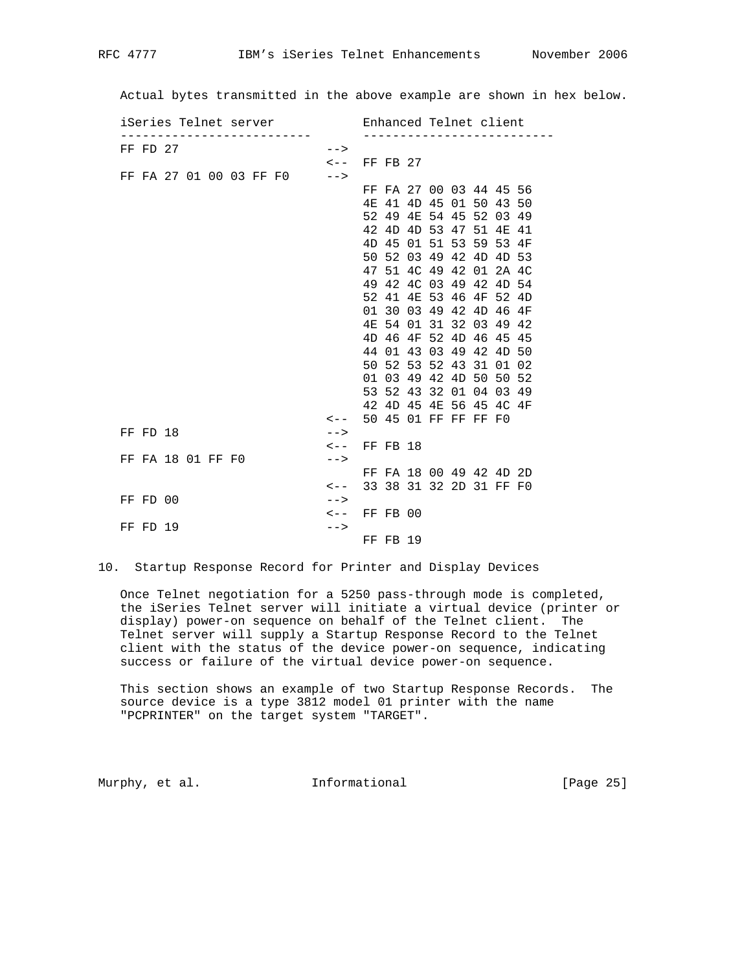Actual bytes transmitted in the above example are shown in hex below.

| iSeries Telnet server   | Enhanced Telnet client                      |
|-------------------------|---------------------------------------------|
| FF FD 27                | $--$                                        |
|                         | $\leftarrow -$ FF FB 27                     |
| FF FA 27 01 00 03 FF F0 | $--$                                        |
|                         | FF FA 27 00 03 44 45 56                     |
|                         | 4E 41 4D 45 01 50 43 50                     |
|                         | 52 49 4E 54 45 52 03 49                     |
|                         | 42 4D 4D 53 47 51 4E 41                     |
|                         | 45 01 51 53 59 53 4F<br>4D                  |
|                         | 50 52 03 49 42 4D 4D 53                     |
|                         | 47 51 4C 49 42 01 2A 4C                     |
|                         | 49 42 4C 03 49 42 4D 54                     |
|                         | 52 41 4E 53 46 4F 52 4D                     |
|                         | 01 30 03 49 42 4D 46 4F                     |
|                         | 54 01 31 32 03 49 42<br>4 F.                |
|                         | 4D 46 4F 52 4D 46 45 45                     |
|                         | 44 01 43 03 49 42 4D 50                     |
|                         | 50 52 53 52 43 31<br>01 02                  |
|                         | 01 03 49 42 4D 50 50 52                     |
|                         | 53 52 43 32 01 04 03 49                     |
|                         | 42 4D 45 4E 56 45 4C 4F                     |
|                         | 50 45 01 FF FF FF F0<br>$\lt$ $-$           |
| FF FD 18                | $--&>$                                      |
|                         | $\leftarrow -$ FF FB 18                     |
| FF FA 18 01 FF F0       | $--$                                        |
|                         | FF FA 18 00 49 42 4D 2D                     |
|                         | 33 38 31 32 2D 31 FF F0<br>$\leftarrow$ $-$ |
| FF FD 00                | $--$                                        |
|                         | $\leftarrow -$ FF FB 00                     |
| FF FD 19                | $--&>$                                      |
|                         | FF FB 19                                    |

10. Startup Response Record for Printer and Display Devices

 Once Telnet negotiation for a 5250 pass-through mode is completed, the iSeries Telnet server will initiate a virtual device (printer or display) power-on sequence on behalf of the Telnet client. The Telnet server will supply a Startup Response Record to the Telnet client with the status of the device power-on sequence, indicating success or failure of the virtual device power-on sequence.

 This section shows an example of two Startup Response Records. The source device is a type 3812 model 01 printer with the name "PCPRINTER" on the target system "TARGET".

Murphy, et al. 1nformational 1999 [Page 25]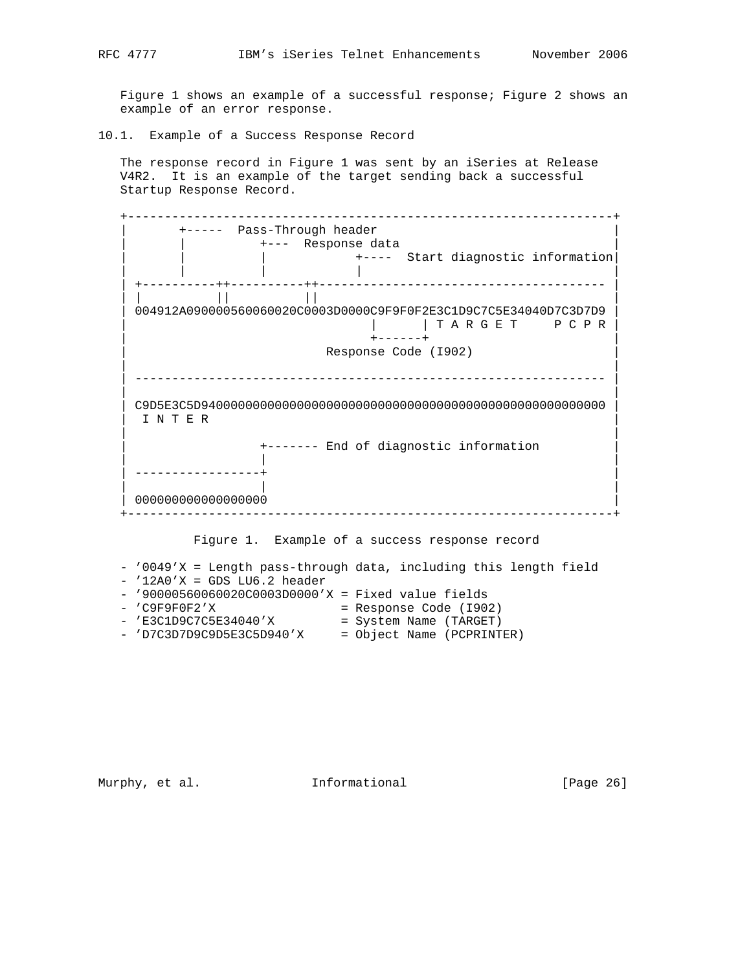Figure 1 shows an example of a successful response; Figure 2 shows an example of an error response.

10.1. Example of a Success Response Record

 The response record in Figure 1 was sent by an iSeries at Release V4R2. It is an example of the target sending back a successful Startup Response Record.

|              | ______________                                                                                    |
|--------------|---------------------------------------------------------------------------------------------------|
|              | +----- Pass-Through header                                                                        |
|              | +--- Response data                                                                                |
|              | +---- Start diagnostic information                                                                |
|              |                                                                                                   |
|              |                                                                                                   |
|              | 004912A090000560060020C0003D0000C9F9F0F2E3C1D9C7C5E34040D7C3D7D9                                  |
|              | TARGET PCPR                                                                                       |
|              | $+ - - - - - +$                                                                                   |
|              | Response Code (1902)                                                                              |
|              |                                                                                                   |
|              |                                                                                                   |
|              |                                                                                                   |
|              |                                                                                                   |
| <b>TNTER</b> |                                                                                                   |
|              |                                                                                                   |
|              | +------- End of diagnostic information                                                            |
|              |                                                                                                   |
|              |                                                                                                   |
|              | 00000000000000000                                                                                 |
|              |                                                                                                   |
|              |                                                                                                   |
|              | Figure 1. Example of a success response record                                                    |
|              |                                                                                                   |
|              |                                                                                                   |
|              | - '0049'X = Length pass-through data, including this length field                                 |
|              | $-$ '12A0'X = GDS LU6.2 header                                                                    |
|              | $-$ '90000560060020C0003D0000'X = Fixed value fields<br>$-$ 'C9F9F0F2'X<br>= Response Code (I902) |

Murphy, et al. 1nformational [Page 26]

- 'E3C1D9C7C5E34040'X = System Name (TARGET) - 'D7C3D7D9C9D5E3C5D940'X = Object Name (PCPRINTER)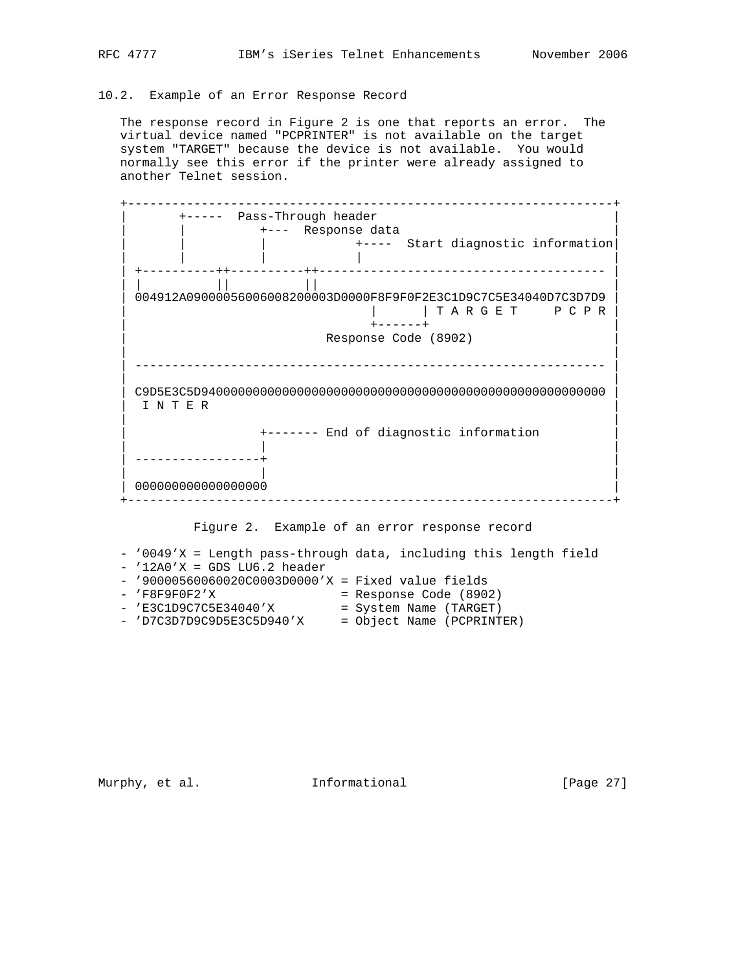# 10.2. Example of an Error Response Record

 The response record in Figure 2 is one that reports an error. The virtual device named "PCPRINTER" is not available on the target system "TARGET" because the device is not available. You would normally see this error if the printer were already assigned to another Telnet session.



- 'D7C3D7D9C9D5E3C5D940'X = Object Name (PCPRINTER)

Murphy, et al. 1nformational 1999 [Page 27]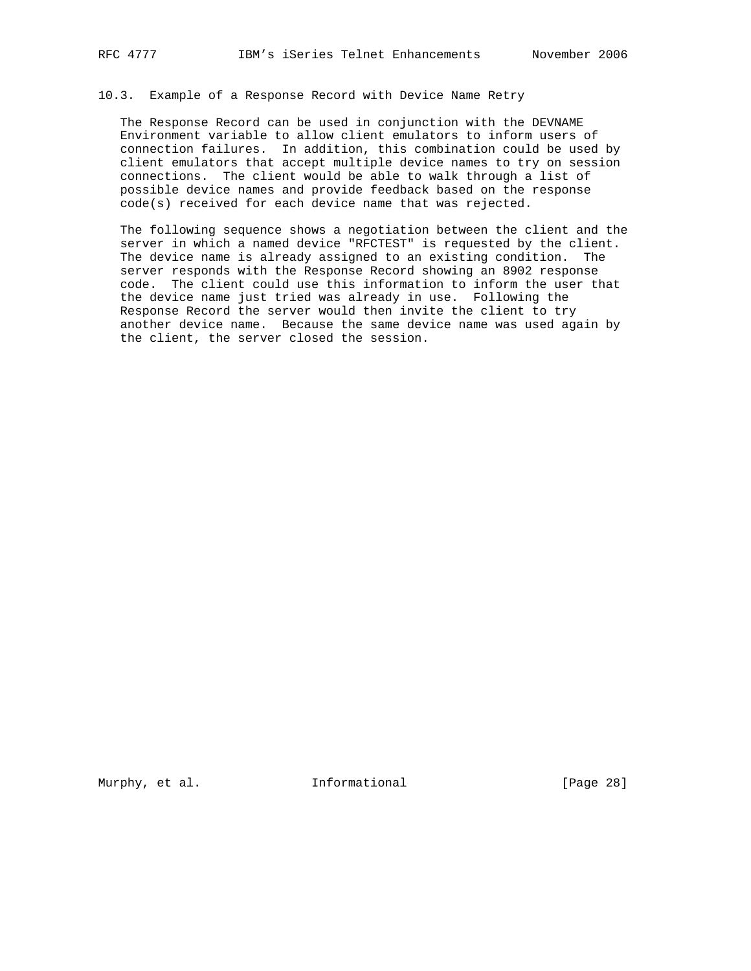10.3. Example of a Response Record with Device Name Retry

 The Response Record can be used in conjunction with the DEVNAME Environment variable to allow client emulators to inform users of connection failures. In addition, this combination could be used by client emulators that accept multiple device names to try on session connections. The client would be able to walk through a list of possible device names and provide feedback based on the response code(s) received for each device name that was rejected.

 The following sequence shows a negotiation between the client and the server in which a named device "RFCTEST" is requested by the client. The device name is already assigned to an existing condition. The server responds with the Response Record showing an 8902 response code. The client could use this information to inform the user that the device name just tried was already in use. Following the Response Record the server would then invite the client to try another device name. Because the same device name was used again by the client, the server closed the session.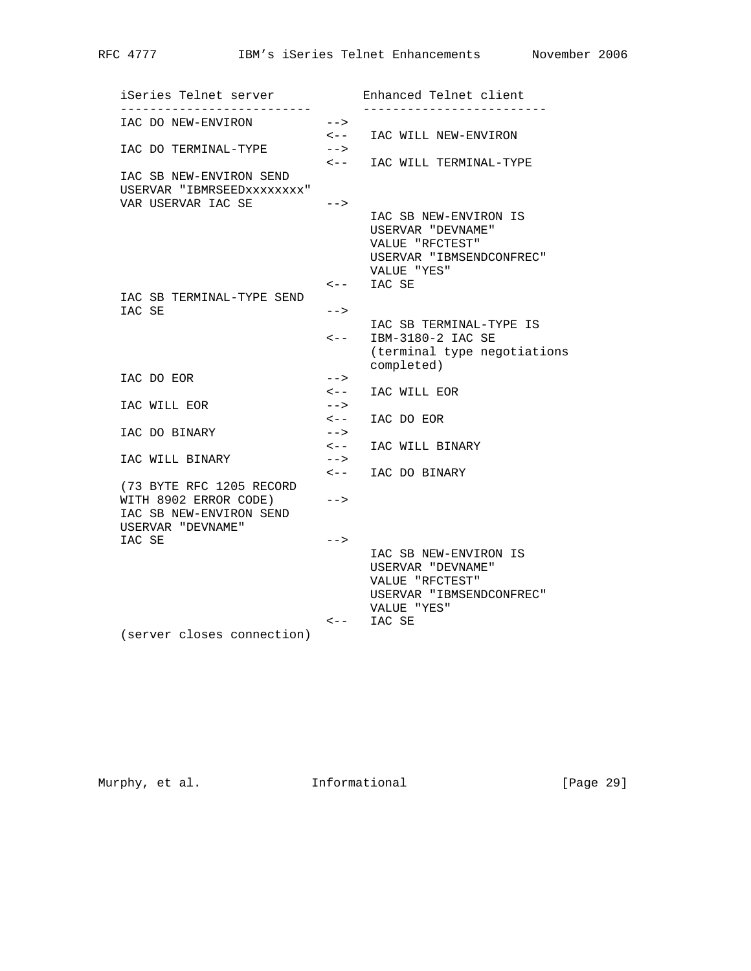iSeries Telnet server Enhanced Telnet client -------------------------- ------------------------- IAC DO NEW-ENVIRON --> <-- IAC WILL NEW-ENVIRON IAC DO TERMINAL-TYPE --> <-- IAC WILL TERMINAL-TYPE IAC SB NEW-ENVIRON SEND USERVAR "IBMRSEEDxxxxxxxx" VAR USERVAR IAC SE --> IAC SB NEW-ENVIRON IS USERVAR "DEVNAME" VALUE "RFCTEST" USERVAR "IBMSENDCONFREC" VALUE "YES" <-- IAC SE IAC SB TERMINAL-TYPE SEND IAC SE --> IAC SB TERMINAL-TYPE IS <-- IBM-3180-2 IAC SE (terminal type negotiations completed) IAC DO EOR --> <-- IAC WILL EOR IAC WILL EOR --> <-- IAC DO EOR IAC DO BINARY --> <-- IAC WILL BINARY IAC WILL BINARY --> <-- IAC DO BINARY (73 BYTE RFC 1205 RECORD WITH 8902 ERROR CODE) --> IAC SB NEW-ENVIRON SEND USERVAR "DEVNAME" IAC SE  $\qquad \qquad \text{---&}$  IAC SB NEW-ENVIRON IS USERVAR "DEVNAME" VALUE "RFCTEST" USERVAR "IBMSENDCONFREC" VALUE "YES" <-- IAC SE

(server closes connection)

Murphy, et al. 1nformational 1999 [Page 29]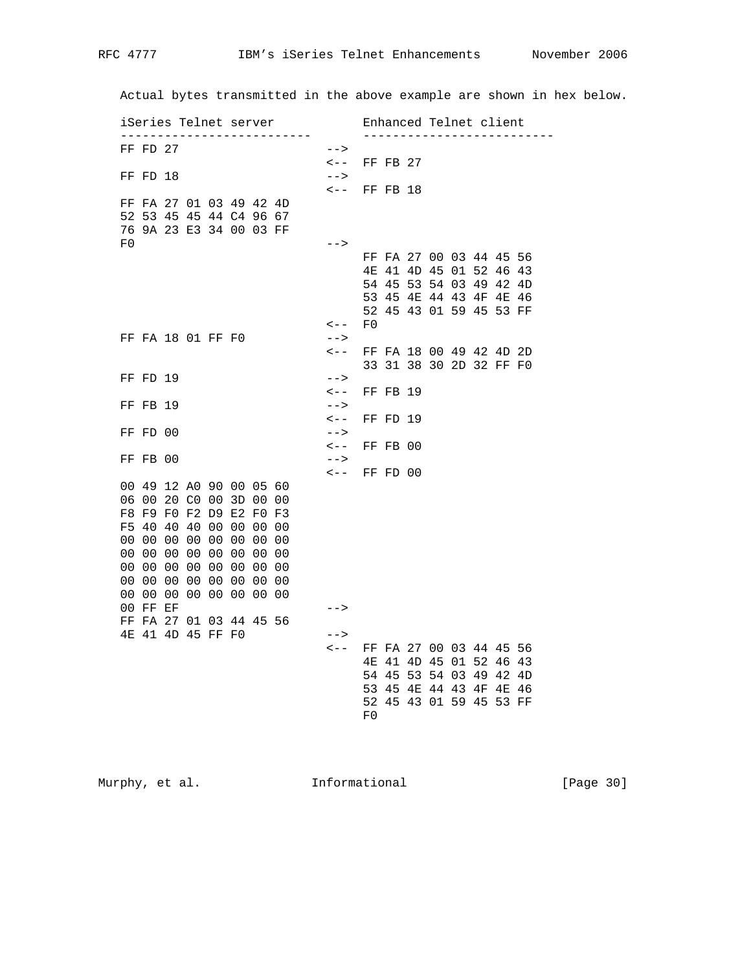Actual bytes transmitted in the above example are shown in hex below.

|    |                |  |                   | iSeries Telnet server   |  |                         |    |                         |  | Enhanced Telnet client  |  |
|----|----------------|--|-------------------|-------------------------|--|-------------------------|----|-------------------------|--|-------------------------|--|
|    | $FF$ $FD$ $27$ |  |                   |                         |  | $--$                    |    |                         |  |                         |  |
|    |                |  |                   |                         |  | $\lt$ $-$               |    | $FF$ FB 27              |  |                         |  |
|    | FF FD 18       |  |                   |                         |  | $--&>$                  |    |                         |  |                         |  |
|    |                |  |                   |                         |  | $\leftarrow -$ FF FB 18 |    |                         |  |                         |  |
|    |                |  |                   | FF FA 27 01 03 49 42 4D |  |                         |    |                         |  |                         |  |
|    |                |  |                   | 52 53 45 45 44 C4 96 67 |  |                         |    |                         |  |                         |  |
|    |                |  |                   | 76 9A 23 E3 34 00 03 FF |  |                         |    |                         |  |                         |  |
| F0 |                |  |                   |                         |  |                         |    |                         |  |                         |  |
|    |                |  |                   |                         |  | $--$                    |    |                         |  | FF FA 27 00 03 44 45 56 |  |
|    |                |  |                   |                         |  |                         |    |                         |  |                         |  |
|    |                |  |                   |                         |  |                         |    |                         |  | 4E 41 4D 45 01 52 46 43 |  |
|    |                |  |                   |                         |  |                         |    |                         |  | 54 45 53 54 03 49 42 4D |  |
|    |                |  |                   |                         |  |                         |    |                         |  | 53 45 4E 44 43 4F 4E 46 |  |
|    |                |  |                   |                         |  |                         |    |                         |  | 52 45 43 01 59 45 53 FF |  |
|    |                |  |                   |                         |  | $\lt$ $-$               | F0 |                         |  |                         |  |
|    |                |  | FF FA 18 01 FF F0 |                         |  | $--&>$                  |    |                         |  |                         |  |
|    |                |  |                   |                         |  | $\lt$ $-$               |    |                         |  | FF FA 18 00 49 42 4D 2D |  |
|    |                |  |                   |                         |  |                         |    |                         |  | 33 31 38 30 2D 32 FF F0 |  |
|    | FF FD 19       |  |                   |                         |  | $--$                    |    |                         |  |                         |  |
|    |                |  |                   |                         |  | $\leftarrow$ $-$        |    | FF FB 19                |  |                         |  |
|    | FF FB 19       |  |                   |                         |  | $--$                    |    |                         |  |                         |  |
|    |                |  |                   |                         |  | $\lt$ $-$               |    | FF FD 19                |  |                         |  |
|    | FF FD 00       |  |                   |                         |  | $--&>$                  |    |                         |  |                         |  |
|    |                |  |                   |                         |  | $\leftarrow -$ FF FB 00 |    |                         |  |                         |  |
|    | FF FB 00       |  |                   |                         |  | $--$                    |    |                         |  |                         |  |
|    |                |  |                   |                         |  | $\leftarrow -$ FF FD 00 |    |                         |  |                         |  |
|    |                |  |                   | 00 49 12 A0 90 00 05 60 |  |                         |    |                         |  |                         |  |
|    |                |  |                   | 06 00 20 C0 00 3D 00 00 |  |                         |    |                         |  |                         |  |
|    |                |  |                   | F8 F9 F0 F2 D9 E2 F0 F3 |  |                         |    |                         |  |                         |  |
|    |                |  |                   | F5 40 40 40 00 00 00 00 |  |                         |    |                         |  |                         |  |
|    |                |  |                   | 00 00 00 00 00 00 00 00 |  |                         |    |                         |  |                         |  |
|    |                |  |                   | 00 00 00 00 00 00 00 00 |  |                         |    |                         |  |                         |  |
|    |                |  |                   | 00 00 00 00 00 00 00 00 |  |                         |    |                         |  |                         |  |
|    |                |  |                   | 00 00 00 00 00 00 00 00 |  |                         |    |                         |  |                         |  |
|    |                |  |                   | 00 00 00 00 00 00 00 00 |  |                         |    |                         |  |                         |  |
|    | 00 FF EF       |  |                   |                         |  | $--$                    |    |                         |  |                         |  |
|    |                |  |                   | FF FA 27 01 03 44 45 56 |  |                         |    |                         |  |                         |  |
|    |                |  | 4E 41 4D 45 FF F0 |                         |  | $--$                    |    |                         |  |                         |  |
|    |                |  |                   |                         |  | $\leftarrow$ $-$        |    |                         |  | FF FA 27 00 03 44 45 56 |  |
|    |                |  |                   |                         |  |                         |    |                         |  | 4E 41 4D 45 01 52 46 43 |  |
|    |                |  |                   |                         |  |                         |    |                         |  | 54 45 53 54 03 49 42 4D |  |
|    |                |  |                   |                         |  |                         |    |                         |  | 53 45 4E 44 43 4F 4E 46 |  |
|    |                |  |                   |                         |  |                         |    | 52 45 43 01 59 45 53 FF |  |                         |  |
|    |                |  |                   |                         |  |                         |    |                         |  |                         |  |

Murphy, et al. 1nformational [Page 30]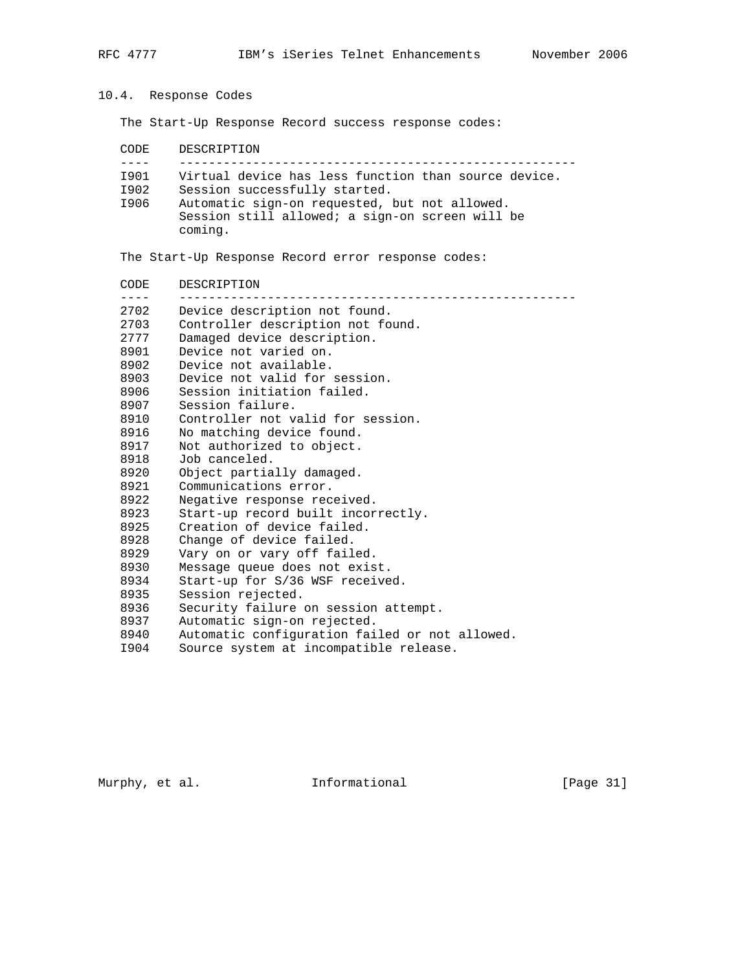10.4. Response Codes

coming.

The Start-Up Response Record success response codes:

| CODE. | DESCRIPTION                                          |
|-------|------------------------------------------------------|
|       |                                                      |
| T901  | Virtual device has less function than source device. |
| I902  | Session successfully started.                        |
| I906  | Automatic sign-on requested, but not allowed.        |
|       | Session still allowed; a sign-on screen will be      |

The Start-Up Response Record error response codes:

| CODE | DESCRIPTION                                    |
|------|------------------------------------------------|
| 2702 | Device description not found.                  |
| 2703 | Controller description not found.              |
| 2777 | Damaged device description.                    |
| 8901 | Device not varied on.                          |
| 8902 | Device not available.                          |
| 8903 | Device not valid for session.                  |
| 8906 | Session initiation failed.                     |
| 8907 | Session failure.                               |
| 8910 | Controller not valid for session.              |
| 8916 | No matching device found.                      |
| 8917 | Not authorized to object.                      |
| 8918 | Job canceled.                                  |
| 8920 | Object partially damaged.                      |
| 8921 | Communications error.                          |
| 8922 | Negative response received.                    |
| 8923 | Start-up record built incorrectly.             |
| 8925 | Creation of device failed.                     |
| 8928 | Change of device failed.                       |
| 8929 | Vary on or vary off failed.                    |
| 8930 | Message queue does not exist.                  |
| 8934 | Start-up for S/36 WSF received.                |
| 8935 | Session rejected.                              |
| 8936 | Security failure on session attempt.           |
| 8937 | Automatic sign-on rejected.                    |
| 8940 | Automatic configuration failed or not allowed. |
| I904 | Source system at incompatible release.         |

Murphy, et al. 1nformational [Page 31]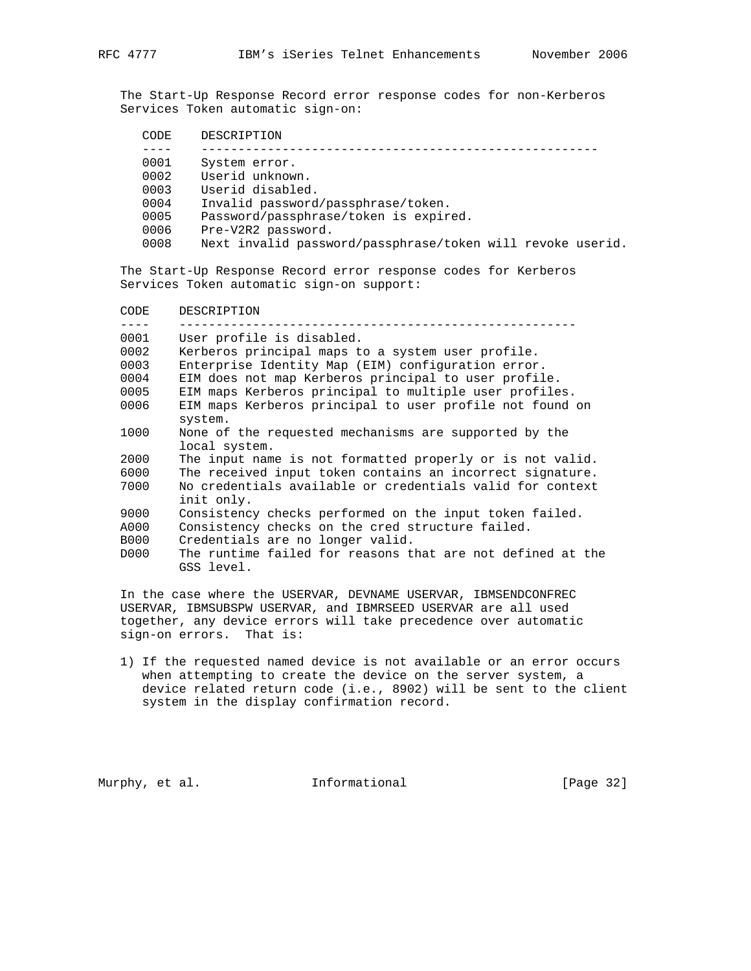The Start-Up Response Record error response codes for non-Kerberos Services Token automatic sign-on:

| CODE | DESCRIPTION                                                |
|------|------------------------------------------------------------|
|      |                                                            |
| 0001 | System error.                                              |
| 0002 | Userid unknown.                                            |
| 0003 | Userid disabled.                                           |
| 0004 | Invalid password/passphrase/token.                         |
| 0005 | Password/passphrase/token is expired.                      |
| 0006 | Pre-V2R2 password.                                         |
| 0008 | Next invalid password/passphrase/token will revoke userid. |
|      |                                                            |

 The Start-Up Response Record error response codes for Kerberos Services Token automatic sign-on support:

| CODE        | DESCRIPTION                                                              |
|-------------|--------------------------------------------------------------------------|
| 0001        | User profile is disabled.                                                |
| 0002        | Kerberos principal maps to a system user profile.                        |
| 0003        | Enterprise Identity Map (EIM) configuration error.                       |
| 0004        | EIM does not map Kerberos principal to user profile.                     |
| 0005        | EIM maps Kerberos principal to multiple user profiles.                   |
| 0006        | EIM maps Kerberos principal to user profile not found on                 |
|             | system.                                                                  |
| 1000        | None of the requested mechanisms are supported by the                    |
|             | local system.                                                            |
| 2000        | The input name is not formatted properly or is not valid.                |
| 6000        | The received input token contains an incorrect signature.                |
| 7000        | No credentials available or credentials valid for context<br>init only.  |
| 9000        | Consistency checks performed on the input token failed.                  |
| A000        | Consistency checks on the cred structure failed.                         |
| <b>B000</b> | Credentials are no longer valid.                                         |
| D000        | The runtime failed for reasons that are not defined at the<br>GSS level. |

 In the case where the USERVAR, DEVNAME USERVAR, IBMSENDCONFREC USERVAR, IBMSUBSPW USERVAR, and IBMRSEED USERVAR are all used together, any device errors will take precedence over automatic sign-on errors. That is:

 1) If the requested named device is not available or an error occurs when attempting to create the device on the server system, a device related return code (i.e., 8902) will be sent to the client system in the display confirmation record.

Murphy, et al. 1nformational 1999 [Page 32]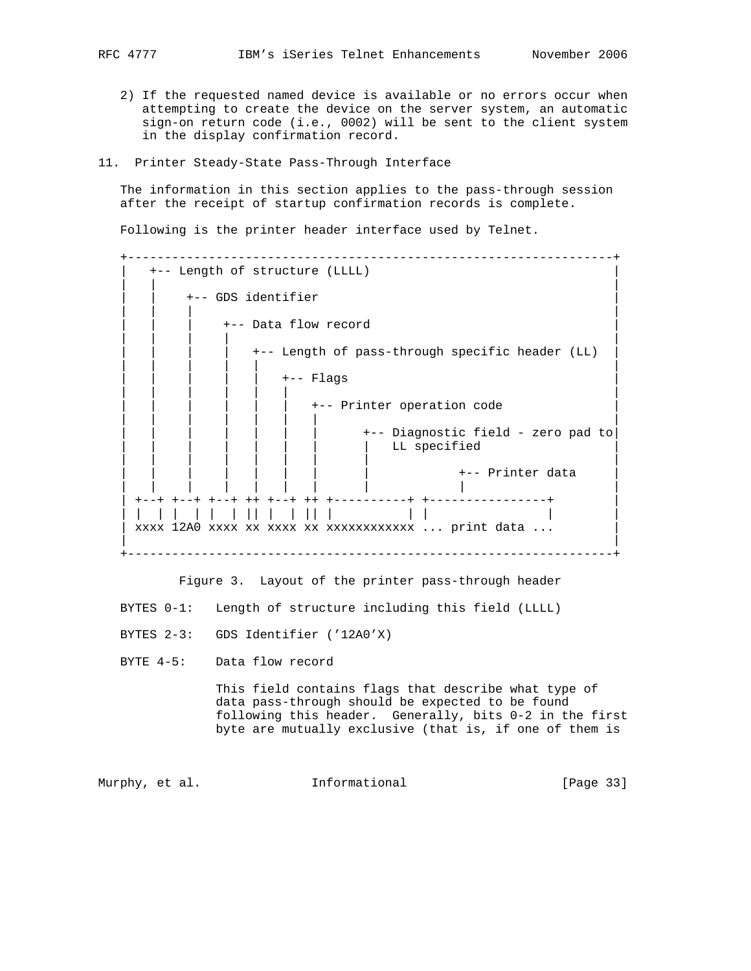- 2) If the requested named device is available or no errors occur when attempting to create the device on the server system, an automatic sign-on return code (i.e., 0002) will be sent to the client system in the display confirmation record.
- 11. Printer Steady-State Pass-Through Interface

 The information in this section applies to the pass-through session after the receipt of startup confirmation records is complete.

Following is the printer header interface used by Telnet.

```
 +------------------------------------------------------------------+
    | +-- Length of structure (LLLL) |
 | | |
       | | +-- GDS identifier |
 | | | |
          | | | +-- Data flow record |
 | | | | |
             | | | | +-- Length of pass-through specific header (LL) |
 | | | | | |
               | | | | | +-- Flags |
 | | | | | | |
                +-- Printer operation code
 | | | | | | | |
                      | | | | | | | +-- Diagnostic field - zero pad to|
                      LL specified
 | | | | | | | | |
                            +-- Printer data
 | | | | | | | | | |
   | +--+ +--+ +--+ ++ +--+ ++ +----------+ +----------------+ |
   | | | | | | | || | | || | | | | |
   | xxxx 12A0 xxxx xx xxxx xx xxxxxxxxxxxx ... print data ... |
 | |
    +------------------------------------------------------------------+
```
Figure 3. Layout of the printer pass-through header

BYTES 0-1: Length of structure including this field (LLLL)

- BYTES 2-3: GDS Identifier ('12A0'X)
- BYTE 4-5: Data flow record

 This field contains flags that describe what type of data pass-through should be expected to be found following this header. Generally, bits 0-2 in the first byte are mutually exclusive (that is, if one of them is

Murphy, et al. 1nformational 1999 [Page 33]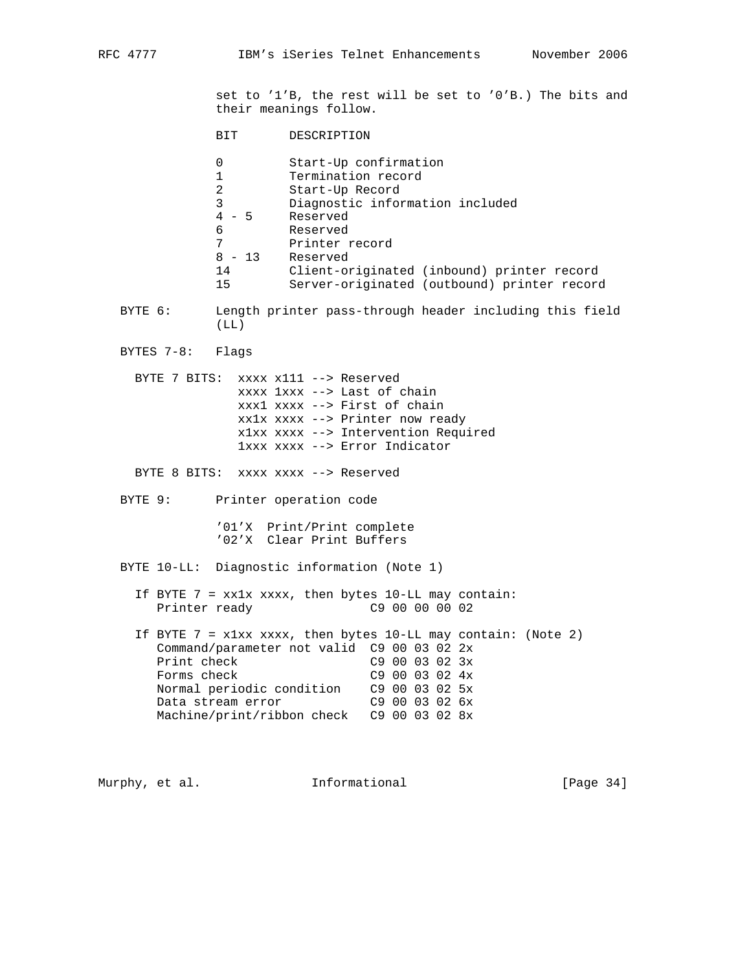set to '1'B, the rest will be set to '0'B.) The bits and their meanings follow.

- BIT DESCRIPTION
- 0 Start-Up confirmation<br>1 Termination record
	- Termination record
- 2 Start-Up Record
- 3 Diagnostic information included
- 4 5 Reserved
- 6 Reserved 7 Printer record
	-
- 8 13 Reserved<br>14 Client-or<br>15 September Client-originated (inbound) printer record 15 Server-originated (outbound) printer record
- BYTE 6: Length printer pass-through header including this field (LL)
- BYTES 7-8: Flags

 BYTE 7 BITS: xxxx x111 --> Reserved xxxx 1xxx --> Last of chain xxx1 xxxx --> First of chain xx1x xxxx --> Printer now ready x1xx xxxx --> Intervention Required 1xxx xxxx --> Error Indicator

BYTE 8 BITS: xxxx xxxx --> Reserved

BYTE 9: Printer operation code

 '01'X Print/Print complete '02'X Clear Print Buffers

BYTE 10-LL: Diagnostic information (Note 1)

- If BYTE  $7 = xx1x$  xxxx, then bytes 10-LL may contain: Printer ready 69 00 00 00 02
- If BYTE  $7 = x1xx$  xxxx, then bytes  $10-LL$  may contain: (Note 2) Command/parameter not valid C9 00 03 02 2x Print check C9 00 03 02 3x<br>Forms check C9 00 03 02 4x  $C9$  00 03 02  $4x$  Normal periodic condition C9 00 03 02 5x Data stream error C9 00 03 02 6x Machine/print/ribbon check C9 00 03 02 8x

Murphy, et al. **Informational** [Page 34]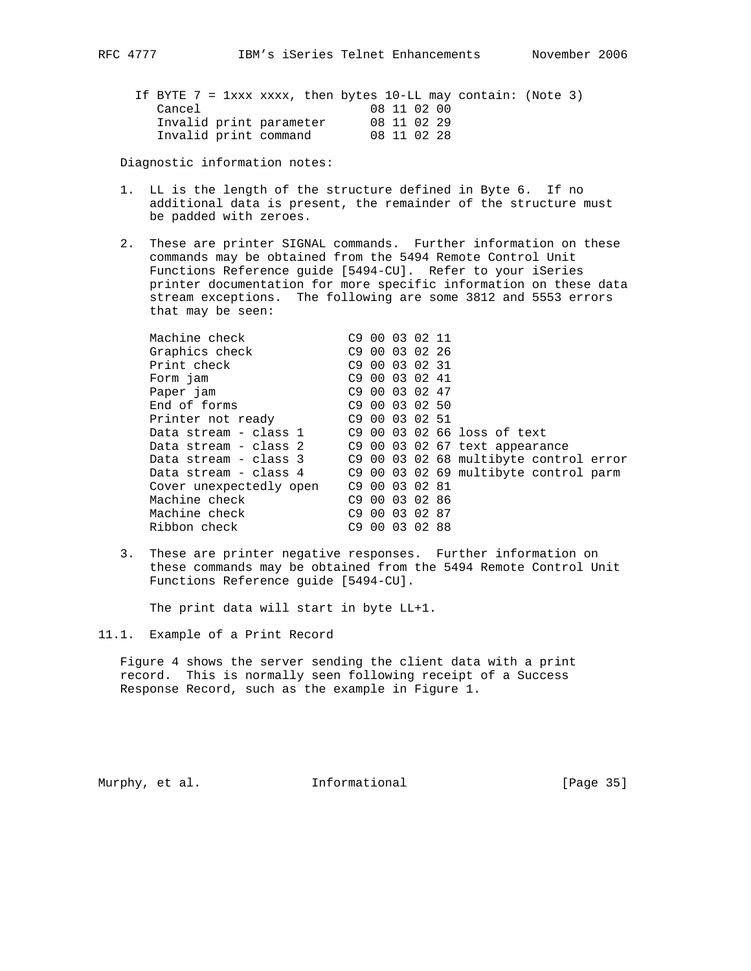|                         |             | If BYTE 7 = $1xxx$ xxxx, then bytes 10-LL may contain: (Note 3) |
|-------------------------|-------------|-----------------------------------------------------------------|
| Cancel                  | 08 11 02 00 |                                                                 |
| Invalid print parameter | 08 11 02 29 |                                                                 |
| Invalid print command   | 08 11 02 28 |                                                                 |

Diagnostic information notes:

- 1. LL is the length of the structure defined in Byte 6. If no additional data is present, the remainder of the structure must be padded with zeroes.
- 2. These are printer SIGNAL commands. Further information on these commands may be obtained from the 5494 Remote Control Unit Functions Reference guide [5494-CU]. Refer to your iSeries printer documentation for more specific information on these data stream exceptions. The following are some 3812 and 5553 errors that may be seen:

| Machine check           |       |    | C9 00 03 02 11             |                                        |
|-------------------------|-------|----|----------------------------|----------------------------------------|
| Graphics check          |       |    | C9 00 03 02 26             |                                        |
| Print check             |       |    | C9 00 03 02 31             |                                        |
| Form jam                |       |    | C9 00 03 02 41             |                                        |
| Paper jam               |       |    | C9 00 03 02 47             |                                        |
| End of forms            |       |    | C <sub>9</sub> 00 03 02 50 |                                        |
| Printer not ready       |       |    | C <sub>9</sub> 00 03 02 51 |                                        |
| Data stream - class 1   |       |    |                            | C9 00 03 02 66 loss of text            |
| Data stream - class 2   |       |    |                            | C9 00 03 02 67 text appearance         |
| Data stream - class 3   |       |    |                            | C9 00 03 02 68 multibyte control error |
| Data stream - class 4   |       |    |                            | C9 00 03 02 69 multibyte control parm  |
| Cover unexpectedly open |       |    | C9 00 03 02 81             |                                        |
| Machine check           |       |    | C <sub>9</sub> 00 03 02 86 |                                        |
| Machine check           |       |    | C9 00 03 02 87             |                                        |
| Ribbon check            | C9 00 | 03 | 0288                       |                                        |
|                         |       |    |                            |                                        |

 3. These are printer negative responses. Further information on these commands may be obtained from the 5494 Remote Control Unit Functions Reference guide [5494-CU].

The print data will start in byte LL+1.

11.1. Example of a Print Record

 Figure 4 shows the server sending the client data with a print record. This is normally seen following receipt of a Success Response Record, such as the example in Figure 1.

Murphy, et al. **Informational** [Page 35]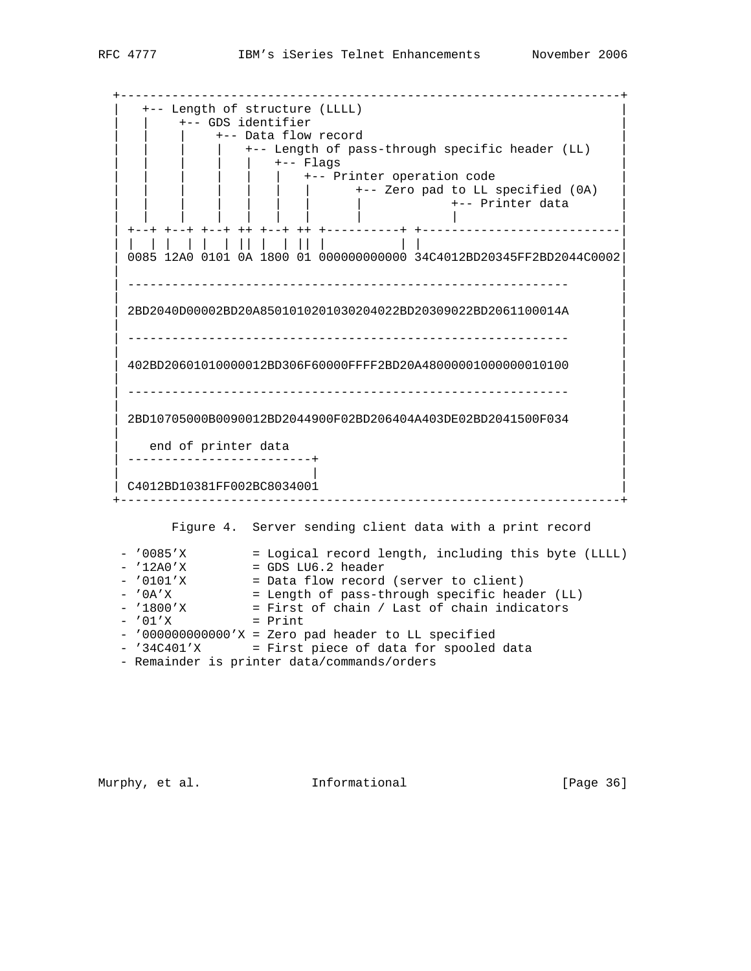+--------------------------------------------------------------------+ | +-- Length of structure (LLLL) | +-- GDS identifier +-- Data flow record | | | | +-- Length of pass-through specific header (LL) | | | | | | +-- Flags | +-- Printer operation code | | | | | | | +-- Zero pad to LL specified (0A) | | | | | | +-- Printer data<br>| | | | | | | | | | | | | | | | | | | +--+ +--+ +--+ ++ +--+ ++ +----------+ +---------------------------| | | | | | | | || | | || | | | | | 0085 12A0 0101 0A 1800 01 000000000000 34C4012BD20345FF2BD2044C0002| | | | ------------------------------------------------------------ | | | | 2BD2040D00002BD20A8501010201030204022BD20309022BD2061100014A | | | | ------------------------------------------------------------ | | | | 402BD20601010000012BD306F60000FFFF2BD20A48000001000000010100 | | | | ------------------------------------------------------------ | | | | 2BD10705000B0090012BD2044900F02BD206404A403DE02BD2041500F034 | | | end of printer data | -------------------------+ | | | | | C4012BD10381FF002BC8034001 | +--------------------------------------------------------------------+ Figure 4. Server sending client data with a print record - '0085'X = Logical record length, including this byte (LLLL)<br>- '12A0'X = GDS LU6.2 header - '12A0'X = GDS LU6.2 header - '0101'X = Data flow record (server to client) - '0A'X = Length of pass-through specific header (LL) - '1800'X = First of chain / Last of chain indicators  $-$  '01'X = Print - '000000000000'X = Zero pad header to LL specified - '34C401'X = First piece of data for spooled data

- Remainder is printer data/commands/orders

Murphy, et al. 1nformational 1999 [Page 36]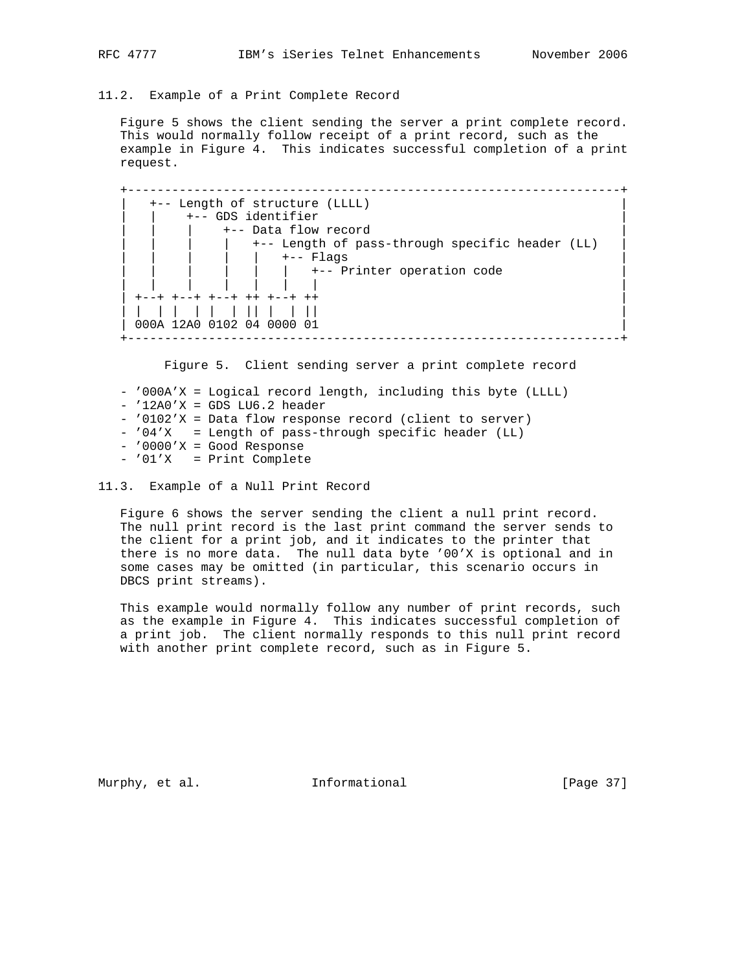11.2. Example of a Print Complete Record

 Figure 5 shows the client sending the server a print complete record. This would normally follow receipt of a print record, such as the example in Figure 4. This indicates successful completion of a print request.

 +-------------------------------------------------------------------+ | +-- Length of structure (LLLL) | +-- GDS identifier +-- Data flow record | | | | +-- Length of pass-through specific header (LL) | | | | | | +-- Flags | | | | | | | +-- Printer operation code | | | | | | | | | | +--+ +--+ +--+ ++ +--+ ++ | | | | | | | | || | | || | 000A 12A0 0102 04 0000 01 +-------------------------------------------------------------------+

Figure 5. Client sending server a print complete record

 - '000A'X = Logical record length, including this byte (LLLL)  $-$  '12A0'X = GDS LU6.2 header - '0102'X = Data flow response record (client to server) - '04'X = Length of pass-through specific header (LL) - '0000'X = Good Response - '01'X = Print Complete

11.3. Example of a Null Print Record

 Figure 6 shows the server sending the client a null print record. The null print record is the last print command the server sends to the client for a print job, and it indicates to the printer that there is no more data. The null data byte '00'X is optional and in some cases may be omitted (in particular, this scenario occurs in DBCS print streams).

 This example would normally follow any number of print records, such as the example in Figure 4. This indicates successful completion of a print job. The client normally responds to this null print record with another print complete record, such as in Figure 5.

Murphy, et al. **Informational** [Page 37]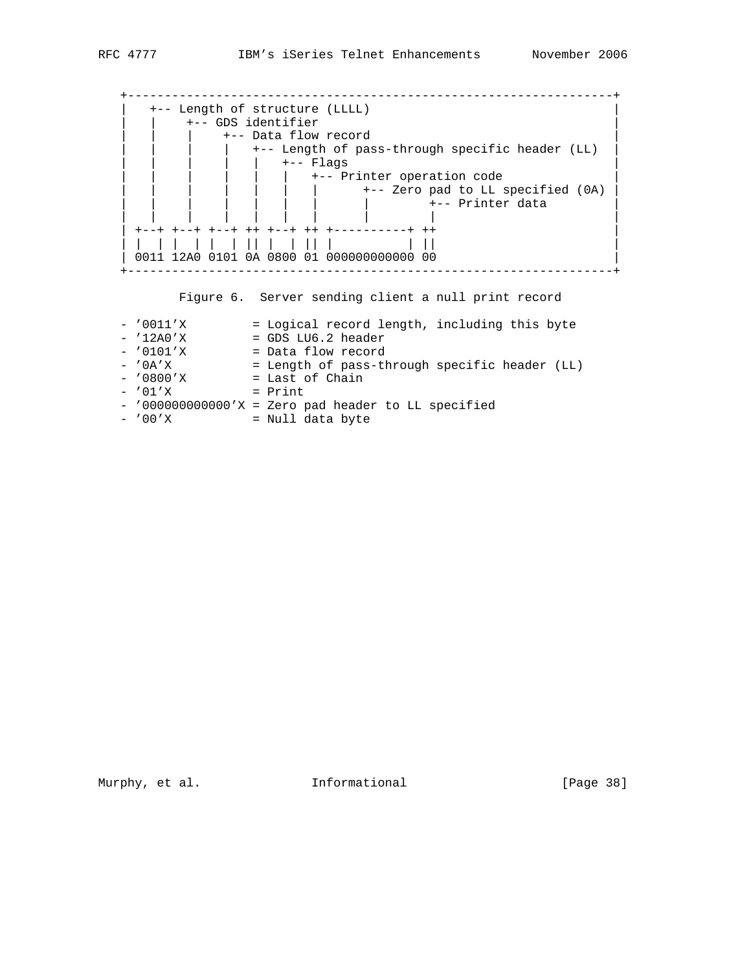| +-- Length of structure (LLLL)<br>+-- GDS identifier |
|------------------------------------------------------|
| +-- Data flow record                                 |
| +-- Length of pass-through specific header (LL)      |
| $---$ Flags                                          |
| +-- Printer operation code                           |
| +-- Zero pad to LL specified (0A)                    |
| +-- Printer data                                     |
|                                                      |
| +--+ ++ +--+ ++ +----------+ ++                      |
|                                                      |
| 0011 12A0 0101 0A 0800 01 0000000000000 00           |

Figure 6. Server sending client a null print record

| $-$ '0011'X | = Logical record length, including this byte           |
|-------------|--------------------------------------------------------|
| $-12A0'X$   | $=$ GDS LU6.2 header                                   |
| $- '0101'$  | = Data flow record                                     |
| $-$ '0A'X   | = Length of pass-through specific header (LL)          |
| $-$ '0800'X | = Last of Chain                                        |
| $-701'$ X   | $=$ Print                                              |
|             | - $'0000000000000'X = Zero pad header to LL specified$ |
| $-700'$ X   | = Null data byte                                       |

Murphy, et al. **Informational** [Page 38]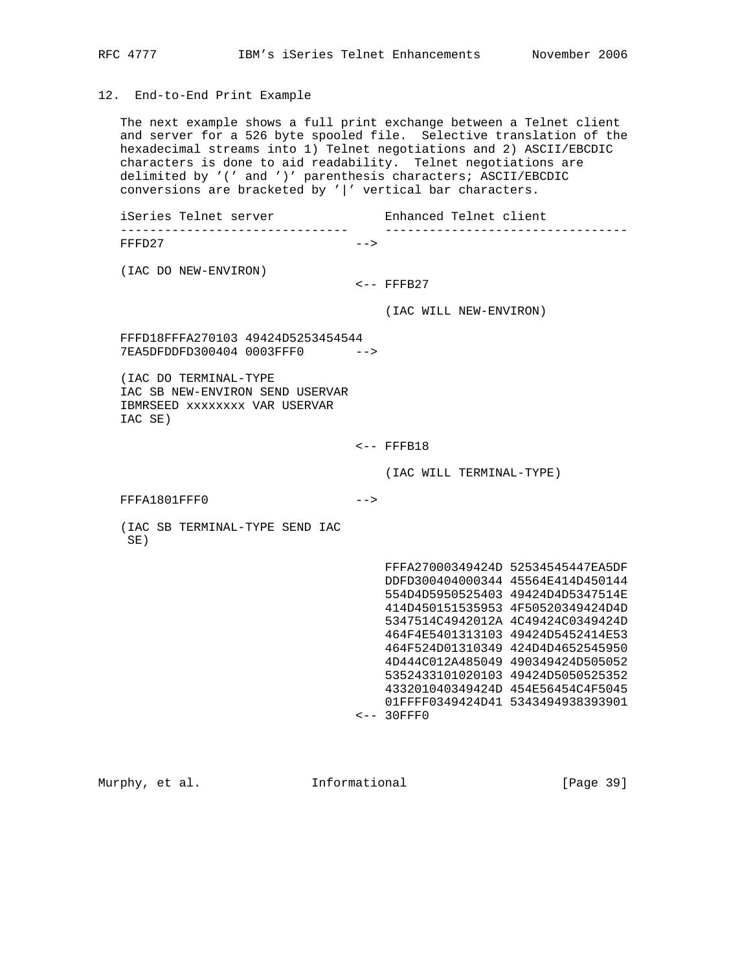# 12. End-to-End Print Example

 The next example shows a full print exchange between a Telnet client and server for a 526 byte spooled file. Selective translation of the hexadecimal streams into 1) Telnet negotiations and 2) ASCII/EBCDIC characters is done to aid readability. Telnet negotiations are delimited by '(' and ')' parenthesis characters; ASCII/EBCDIC conversions are bracketed by '|' vertical bar characters.

iSeries Telnet server Telnet Enhanced Telnet client ------------------------------- ---------------------------------  $FFFD27$   $--$ 

(IAC DO NEW-ENVIRON)

 $<--$  FFFB27

(IAC WILL NEW-ENVIRON)

 FFFD18FFFA270103 49424D5253454544 7EA5DFDDFD300404 0003FFF0 -->

 (IAC DO TERMINAL-TYPE IAC SB NEW-ENVIRON SEND USERVAR IBMRSEED xxxxxxxx VAR USERVAR IAC SE)

 $\textrm{<-}$  FFFB18

(IAC WILL TERMINAL-TYPE)

FFFA1801FFF0 -->

 (IAC SB TERMINAL-TYPE SEND IAC SE)

> FFFA27000349424D 52534545447EA5DF DDFD300404000344 45564E414D450144 554D4D5950525403 49424D4D5347514E 414D450151535953 4F50520349424D4D 5347514C4942012A 4C49424C0349424D 464F4E5401313103 49424D5452414E53 464F524D01310349 424D4D4652545950 4D444C012A485049 490349424D505052 5352433101020103 49424D5050525352 433201040349424D 454E56454C4F5045 01FFFF0349424D41 5343494938393901 <-- 30FFF0

Murphy, et al. 1nformational [Page 39]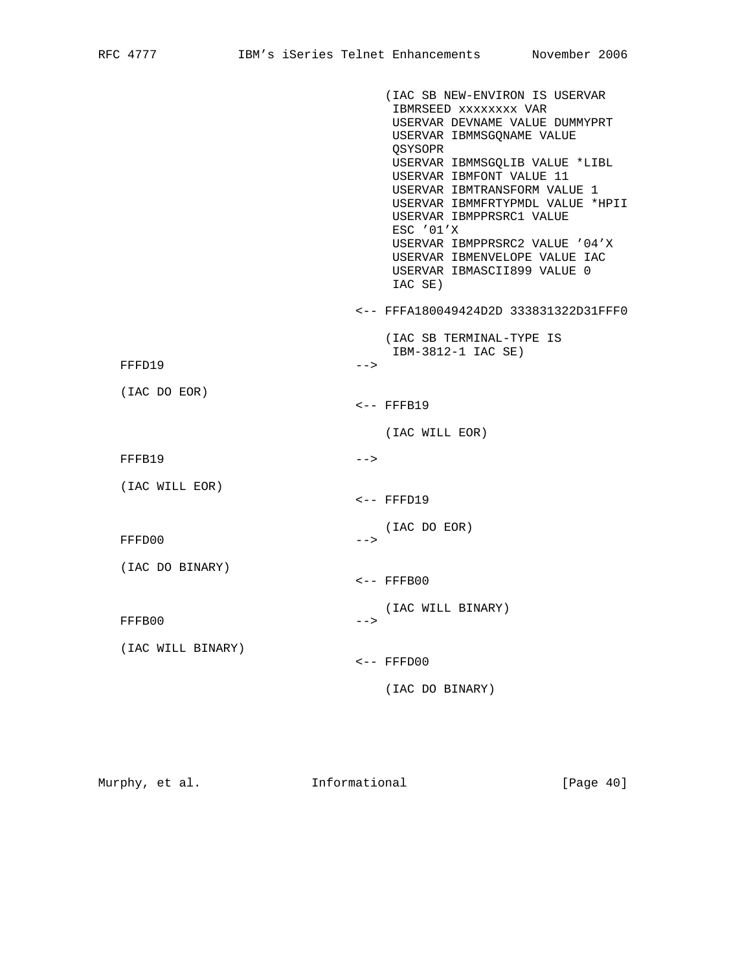|                   |        | (IAC SB NEW-ENVIRON IS USERVAR<br>IBMRSEED XXXXXXXX VAR<br>USERVAR DEVNAME VALUE DUMMYPRT<br>USERVAR IBMMSGONAME VALUE<br>QSYSOPR<br>USERVAR IBMMSGQLIB VALUE *LIBL<br>USERVAR IBMFONT VALUE 11<br>USERVAR IBMTRANSFORM VALUE 1<br>USERVAR IBMMFRTYPMDL VALUE *HPII<br>USERVAR IBMPPRSRC1 VALUE<br>ESC '01'X<br>USERVAR IBMPPRSRC2 VALUE '04'X<br>USERVAR IBMENVELOPE VALUE IAC<br>USERVAR IBMASCII899 VALUE 0<br>IAC SE) |
|-------------------|--------|---------------------------------------------------------------------------------------------------------------------------------------------------------------------------------------------------------------------------------------------------------------------------------------------------------------------------------------------------------------------------------------------------------------------------|
|                   |        | <-- FFFA180049424D2D 333831322D31FFF0                                                                                                                                                                                                                                                                                                                                                                                     |
| FFFD19            | $--$   | (IAC SB TERMINAL-TYPE IS<br>IBM-3812-1 IAC SE)                                                                                                                                                                                                                                                                                                                                                                            |
| (IAC DO EOR)      |        | $<$ -- FFFB19                                                                                                                                                                                                                                                                                                                                                                                                             |
|                   |        | (IAC WILL EOR)                                                                                                                                                                                                                                                                                                                                                                                                            |
| FFFB19            | $--&>$ |                                                                                                                                                                                                                                                                                                                                                                                                                           |
| (IAC WILL EOR)    |        | $\leftarrow$ - FFFD19                                                                                                                                                                                                                                                                                                                                                                                                     |
| FFFD00            | $--&>$ | (IAC DO EOR)                                                                                                                                                                                                                                                                                                                                                                                                              |
| (IAC DO BINARY)   |        | $\leftarrow$ - FFFB00                                                                                                                                                                                                                                                                                                                                                                                                     |
| FFFB00            | $--&$  | (IAC WILL BINARY)                                                                                                                                                                                                                                                                                                                                                                                                         |
| (IAC WILL BINARY) |        | $\leftarrow$ - FFFD00                                                                                                                                                                                                                                                                                                                                                                                                     |
|                   |        | (IAC DO BINARY)                                                                                                                                                                                                                                                                                                                                                                                                           |
|                   |        |                                                                                                                                                                                                                                                                                                                                                                                                                           |

Murphy, et al. **Informational** [Page 40]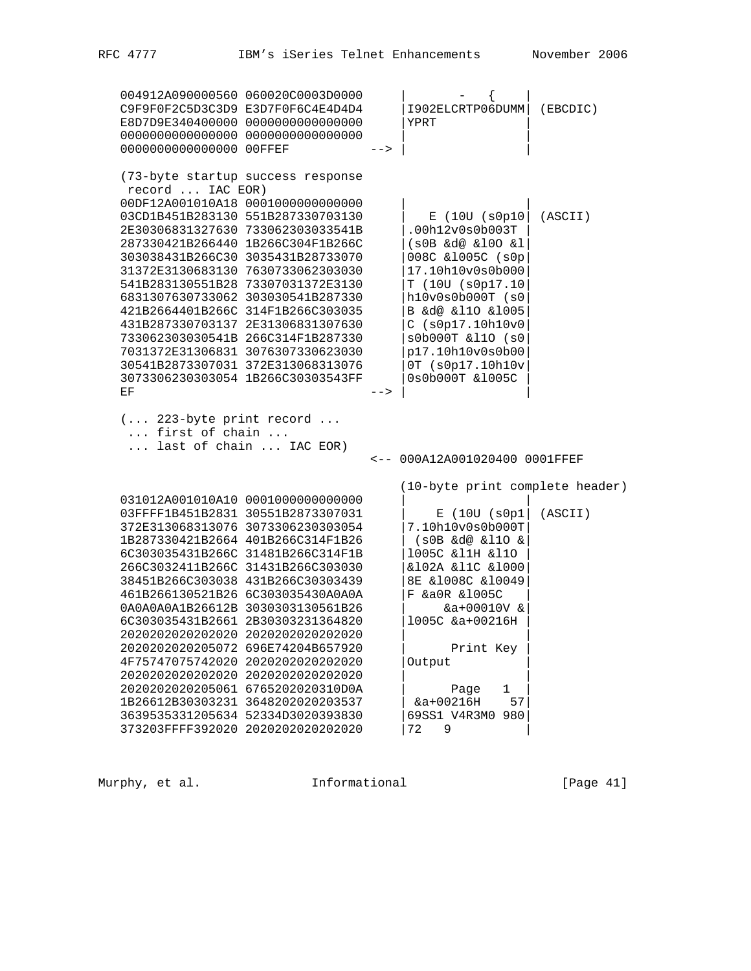|    | -->                                                                                                                                                                                                                                                                                                                                                                                                                                                                                                                                                                                                                                                                                                                                                                                                                                                                                                                                                                                                                                                                                                                                                                                                                                                                                                                                                                                                                                                                                                                                              | $\left\{ \right.$<br>$-$<br>1902ELCRTP06DUMM<br>YPRT                                                                                                                                                                                                                    | (EBCDIC)                                                         |
|----|--------------------------------------------------------------------------------------------------------------------------------------------------------------------------------------------------------------------------------------------------------------------------------------------------------------------------------------------------------------------------------------------------------------------------------------------------------------------------------------------------------------------------------------------------------------------------------------------------------------------------------------------------------------------------------------------------------------------------------------------------------------------------------------------------------------------------------------------------------------------------------------------------------------------------------------------------------------------------------------------------------------------------------------------------------------------------------------------------------------------------------------------------------------------------------------------------------------------------------------------------------------------------------------------------------------------------------------------------------------------------------------------------------------------------------------------------------------------------------------------------------------------------------------------------|-------------------------------------------------------------------------------------------------------------------------------------------------------------------------------------------------------------------------------------------------------------------------|------------------------------------------------------------------|
| ΕF | $--$                                                                                                                                                                                                                                                                                                                                                                                                                                                                                                                                                                                                                                                                                                                                                                                                                                                                                                                                                                                                                                                                                                                                                                                                                                                                                                                                                                                                                                                                                                                                             | $E$ (100 (s0p10)<br>.00h12v0s0b003T<br>$(s0B \& d@ \& l0O \& l$<br>008C &1005C (s0p<br>17.10h10v0s0b000<br>T (10U (s0p17.10<br>h10v0s0b000T (s0<br>B &d@ &l10 &l005<br>C (s0p17.10h10v0<br>s0b000T &110 (s0<br>p17.10h10v0s0b00<br>0T (s0p17.10h10v<br>0s0b000T &1005C  | (ASCII)                                                          |
|    |                                                                                                                                                                                                                                                                                                                                                                                                                                                                                                                                                                                                                                                                                                                                                                                                                                                                                                                                                                                                                                                                                                                                                                                                                                                                                                                                                                                                                                                                                                                                                  |                                                                                                                                                                                                                                                                         |                                                                  |
|    |                                                                                                                                                                                                                                                                                                                                                                                                                                                                                                                                                                                                                                                                                                                                                                                                                                                                                                                                                                                                                                                                                                                                                                                                                                                                                                                                                                                                                                                                                                                                                  |                                                                                                                                                                                                                                                                         |                                                                  |
|    |                                                                                                                                                                                                                                                                                                                                                                                                                                                                                                                                                                                                                                                                                                                                                                                                                                                                                                                                                                                                                                                                                                                                                                                                                                                                                                                                                                                                                                                                                                                                                  | $E$ (10U (s0p1<br>7.10h10v0s0b000T<br>$(s0B \& d@ \& 110 \& c)$<br>1005C & 11H & 11O<br>&102A &11C &1000<br>8E &1008C &10049<br>F &a0R &1005C<br>&a+00010V &<br>1005C &a+00216H<br>Print Key<br>Output<br>1<br>Page<br>$&a+00216H$<br>57<br>69SS1 V4R3M0 980<br>9<br>72 | (ASCII)                                                          |
|    | 004912A090000560 060020C0003D0000<br>C9F9F0F2C5D3C3D9 E3D7F0F6C4E4D4D4<br>E8D7D9E340400000 0000000000000000<br>0000000000000000 00000000000000000<br>0000000000000000 00FFEF<br>(73-byte startup success response<br>record  IAC EOR)<br>00DF12A001010A18 0001000000000000<br>03CD1B451B283130 551B287330703130<br>2E30306831327630 733062303033541B<br>287330421B266440 1B266C304F1B266C<br>303038431B266C30 3035431B28733070<br>31372E3130683130 7630733062303030<br>541B283130551B28 73307031372E3130<br>6831307630733062 303030541B287330<br>421B2664401B266C 314F1B266C303035<br>431B287330703137 2E31306831307630<br>733062303030541B 266C314F1B287330<br>7031372E31306831 3076307330623030<br>30541B2873307031 372E313068313076<br>3073306230303054 1B266C30303543FF<br>$( 223$ -byte print record<br>first of chain<br>last of chain  IAC EOR)<br>031012A001010A10 0001000000000000<br>03FFFF1B451B2831 30551B2873307031<br>372E313068313076 3073306230303054<br>1B287330421B2664 401B266C314F1B26<br>6C303035431B266C 31481B266C314F1B<br>266C3032411B266C 31431B266C303030<br>38451B266C303038 431B266C30303439<br>461B266130521B26 6C303035430A0A0A<br>0A0A0A0A1B26612B 3030303130561B26<br>6C303035431B2661 2B30303231364820<br>2020202020202020 2020202020202020<br>2020202020205072 696E74204B657920<br>4F75747075742020 2020202020202020<br>2020202020202020 2020202020202020<br>2020202020205061 6765202020310D0A<br>1B26612B30303231 3648202020203537<br>3639535331205634 52334D3020393830<br>373203FFFF392020 2020202020202020 |                                                                                                                                                                                                                                                                         | <-- 000A12A001020400 0001FFEF<br>(10-byte print complete header) |

Murphy, et al. 1nformational [Page 41]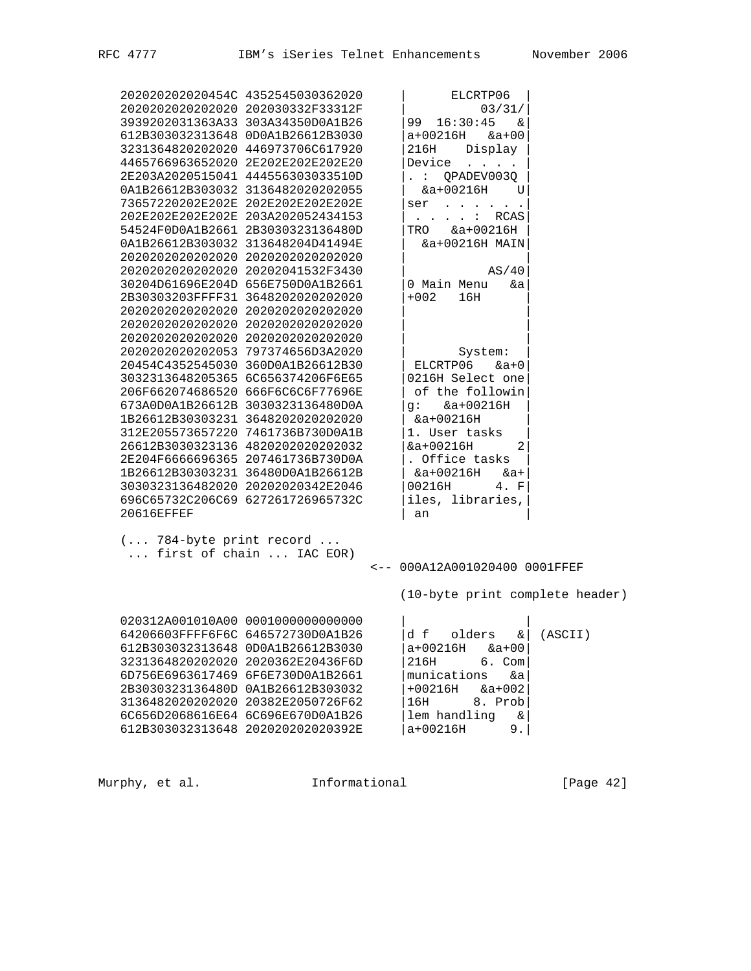|                         | 202020202020454C 4352545030362020 | ELCRTP06                                                                                                                                             |         |
|-------------------------|-----------------------------------|------------------------------------------------------------------------------------------------------------------------------------------------------|---------|
|                         | 2020202020202020 202030332F33312F | 03/31/                                                                                                                                               |         |
|                         | 3939202031363A33 303A34350D0A1B26 | 16:30:45<br>99<br>δε                                                                                                                                 |         |
|                         | 612B303032313648 0D0A1B26612B3030 | a+00216H<br>$&a+00$                                                                                                                                  |         |
|                         | 3231364820202020 446973706C617920 | 216H<br>Display                                                                                                                                      |         |
|                         | 4465766963652020 2E202E202E202E20 | Device                                                                                                                                               |         |
|                         | 2E203A2020515041 444556303033510D | QPADEV003Q<br>$\mathbf{L}^{\text{max}}$                                                                                                              |         |
|                         | 0A1B26612B303032 3136482020202055 | $&a+00216H$                                                                                                                                          |         |
|                         |                                   | U                                                                                                                                                    |         |
|                         | 73657220202E202E 202E202E202E202E | ser<br>$\begin{array}{cccccccccccccc} \bullet & \bullet & \bullet & \bullet & \bullet & \bullet & \bullet & \bullet & \bullet & \bullet \end{array}$ |         |
|                         | 202E202E202E202E 203A202052434153 | : RCAS                                                                                                                                               |         |
|                         | 54524F0D0A1B2661 2B3030323136480D | $&a+00216H$<br>TRO                                                                                                                                   |         |
|                         | 0A1B26612B303032 313648204D41494E | &a+00216H MAIN                                                                                                                                       |         |
|                         | 2020202020202020 2020202020202020 |                                                                                                                                                      |         |
|                         | 2020202020202020 20202041532F3430 | AS/40                                                                                                                                                |         |
|                         | 30204D61696E204D 656E750D0A1B2661 | 0 Main Menu<br>&a                                                                                                                                    |         |
|                         | 2B30303203FFFF31 3648202020202020 | $+002$<br>16H                                                                                                                                        |         |
|                         | 2020202020202020 2020202020202020 |                                                                                                                                                      |         |
|                         | 2020202020202020 2020202020202020 |                                                                                                                                                      |         |
|                         | 2020202020202020 2020202020202020 |                                                                                                                                                      |         |
|                         | 2020202020202053 797374656D3A2020 | System:                                                                                                                                              |         |
|                         | 20454C4352545030 360D0A1B26612B30 | ELCRTP06<br>$\&a+0$                                                                                                                                  |         |
|                         | 3032313648205365 6C656374206F6E65 | 0216H Select one                                                                                                                                     |         |
|                         | 206F662074686520 666F6C6C6F77696E | of the followin                                                                                                                                      |         |
|                         | 673A0D0A1B26612B 3030323136480D0A | $q: \&a+00216H$                                                                                                                                      |         |
|                         | 1B26612B30303231 3648202020202020 | $&a+00216H$                                                                                                                                          |         |
|                         | 312E205573657220 7461736B730D0A1B | 1. User tasks                                                                                                                                        |         |
|                         |                                   |                                                                                                                                                      |         |
|                         | 26612B3030323136 4820202020202032 | $&a+00216H$<br>2                                                                                                                                     |         |
|                         | 2E204F6666696365 207461736B730D0A | . Office tasks                                                                                                                                       |         |
|                         | 1B26612B30303231 36480D0A1B26612B | &a+00216H<br>&a+                                                                                                                                     |         |
|                         | 3030323136482020 20202020342E2046 | 00216H<br>4. F                                                                                                                                       |         |
|                         | 696C65732C206C69 627261726965732C | iles, libraries,                                                                                                                                     |         |
| <b>20616EFFEF</b>       |                                   | an                                                                                                                                                   |         |
| ( 784-byte print record | first of chain  IAC EOR)          |                                                                                                                                                      |         |
|                         |                                   | <-- 000A12A001020400 0001FFEF                                                                                                                        |         |
|                         |                                   |                                                                                                                                                      |         |
|                         |                                   | (10-byte print complete header)                                                                                                                      |         |
|                         |                                   |                                                                                                                                                      |         |
|                         | 020312A001010A00 0001000000000000 |                                                                                                                                                      |         |
|                         | 64206603FFFF6F6C 646572730D0A1B26 |                                                                                                                                                      | (ASCII) |
|                         |                                   | $ d f$ olders $\& $                                                                                                                                  |         |
|                         | 612B303032313648 0D0A1B26612B3030 | $a+00216H$ $& a+00$                                                                                                                                  |         |
|                         | 3231364820202020 2020362E20436F6D | 216H<br>$6.$ Com                                                                                                                                     |         |
|                         | 6D756E6963617469 6F6E730D0A1B2661 | munications<br>&a                                                                                                                                    |         |
|                         | 2B3030323136480D 0A1B26612B303032 | $&a+002$<br>$+00216H$                                                                                                                                |         |
|                         | 3136482020202020 20382E2050726F62 | 16H<br>8. Prob                                                                                                                                       |         |
|                         | 6C656D2068616E64 6C696E670D0A1B26 | lem handling<br>$\&$                                                                                                                                 |         |
|                         | 612B303032313648 202020202020392E | $a+00216H$<br>9.1                                                                                                                                    |         |
|                         |                                   |                                                                                                                                                      |         |

Murphy, et al. 1nformational [Page 42]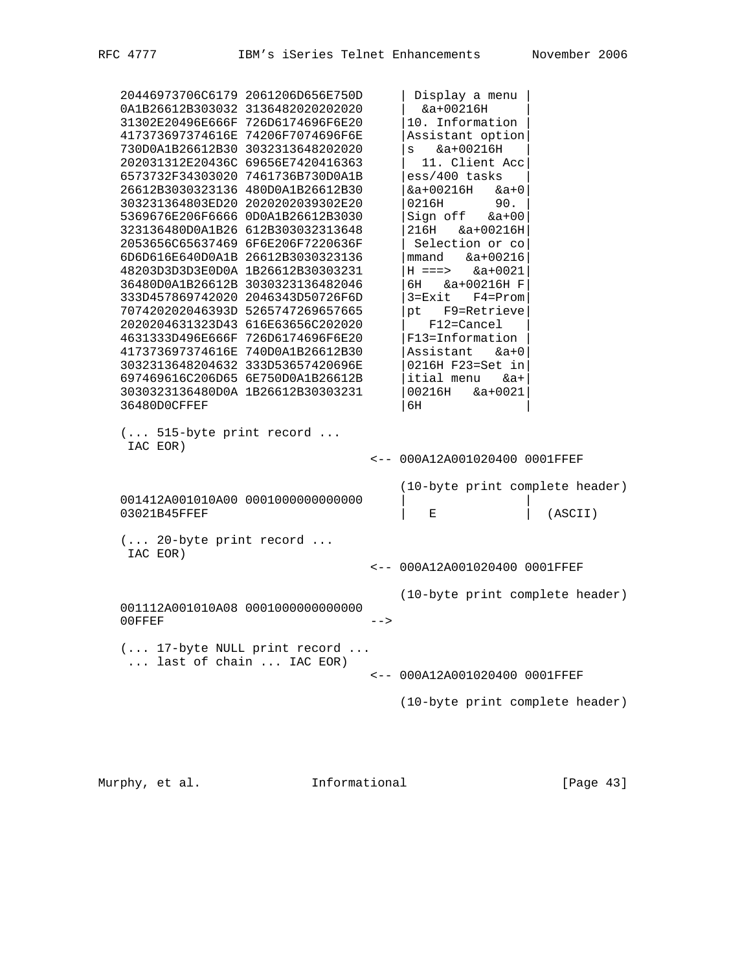20446973706C6179 2061206D656E750D | Display a menu | 0A1B26612B303032 3136482020202020 | &a+00216H | 31302E20496E666F 726D6174696F6E20 |10. Information | 417373697374616E 74206F7074696F6E |Assistant option| 730D0A1B26612B30 3032313648202020 |s &a+00216H | 202031312E20436C 69656E7420416363 | 11. Client Acc| 6573732F34303020 7461736B730D0A1B |ess/400 tasks | 26612B3030323136 480D0A1B26612B30 |&a+00216H &a+0| 303231364803ED20 2020202039302E20 |0216H 90. | 5369676E206F6666 0D0A1B26612B3030 |Sign off &a+00| 323136480D0A1B26 612B303032313648 |216H &a+00216H| 2053656C65637469 6F6E206F7220636F | Selection or co| 6D6D616E640D0A1B 26612B3030323136 |mmand &a+00216| 48203D3D3D3E0D0A 1B26612B30303231 |H ===> &a+0021| 36480D0A1B26612B 3030323136482046 |6H &a+00216H F| 333D457869742020 2046343D50726F6D |3=Exit F4=Prom| 707420202046393D 5265747269657665 |pt F9=Retrieve| 2020204631323D43 616E63656C202020 | F12=Cancel | 4631333D496E666F 726D6174696F6E20 |F13=Information | 417373697374616E 740D0A1B26612B30 |Assistant &a+0| 3032313648204632 333D53657420696E |0216H F23=Set in| 697469616C206D65 6E750D0A1B26612B |itial menu &a+| 3030323136480D0A 1B26612B30303231 |00216H &a+0021| 36480D0CFFEF | 1990 | 1990 | 1990 | 1990 | 1990 | 1990 | 1990 | 1990 | 1990 | 1990 | 1990 | 1990 | 1 (... 515-byte print record ... IAC EOR) <-- 000A12A001020400 0001FFEF (10-byte print complete header) 001412A001010A00 00010000000000000 001412A001010A00 0001000000000000 |<br>03021B45FFEF | E | (ASCII) (... 20-byte print record ... IAC EOR) <-- 000A12A001020400 0001FFEF (10-byte print complete header) 001112A001010A08 0001000000000000 00FFEF --> (... 17-byte NULL print record ... ... last of chain ... IAC EOR) <-- 000A12A001020400 0001FFEF (10-byte print complete header)

Murphy, et al. 1nformational [Page 43]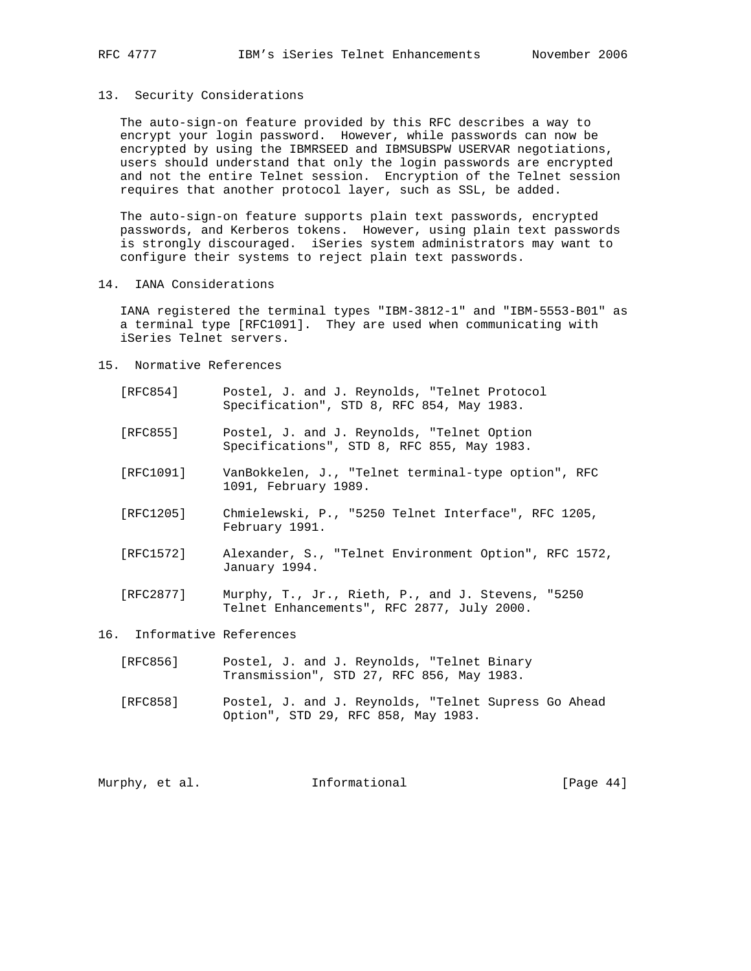### 13. Security Considerations

 The auto-sign-on feature provided by this RFC describes a way to encrypt your login password. However, while passwords can now be encrypted by using the IBMRSEED and IBMSUBSPW USERVAR negotiations, users should understand that only the login passwords are encrypted and not the entire Telnet session. Encryption of the Telnet session requires that another protocol layer, such as SSL, be added.

 The auto-sign-on feature supports plain text passwords, encrypted passwords, and Kerberos tokens. However, using plain text passwords is strongly discouraged. iSeries system administrators may want to configure their systems to reject plain text passwords.

14. IANA Considerations

 IANA registered the terminal types "IBM-3812-1" and "IBM-5553-B01" as a terminal type [RFC1091]. They are used when communicating with iSeries Telnet servers.

- 15. Normative References
	- [RFC854] Postel, J. and J. Reynolds, "Telnet Protocol Specification", STD 8, RFC 854, May 1983.
	- [RFC855] Postel, J. and J. Reynolds, "Telnet Option Specifications", STD 8, RFC 855, May 1983.
	- [RFC1091] VanBokkelen, J., "Telnet terminal-type option", RFC 1091, February 1989.
	- [RFC1205] Chmielewski, P., "5250 Telnet Interface", RFC 1205, February 1991.
	- [RFC1572] Alexander, S., "Telnet Environment Option", RFC 1572, January 1994.
	- [RFC2877] Murphy, T., Jr., Rieth, P., and J. Stevens, "5250 Telnet Enhancements", RFC 2877, July 2000.

# 16. Informative References

- [RFC856] Postel, J. and J. Reynolds, "Telnet Binary Transmission", STD 27, RFC 856, May 1983.
- [RFC858] Postel, J. and J. Reynolds, "Telnet Supress Go Ahead Option", STD 29, RFC 858, May 1983.

Murphy, et al. **Informational** [Page 44]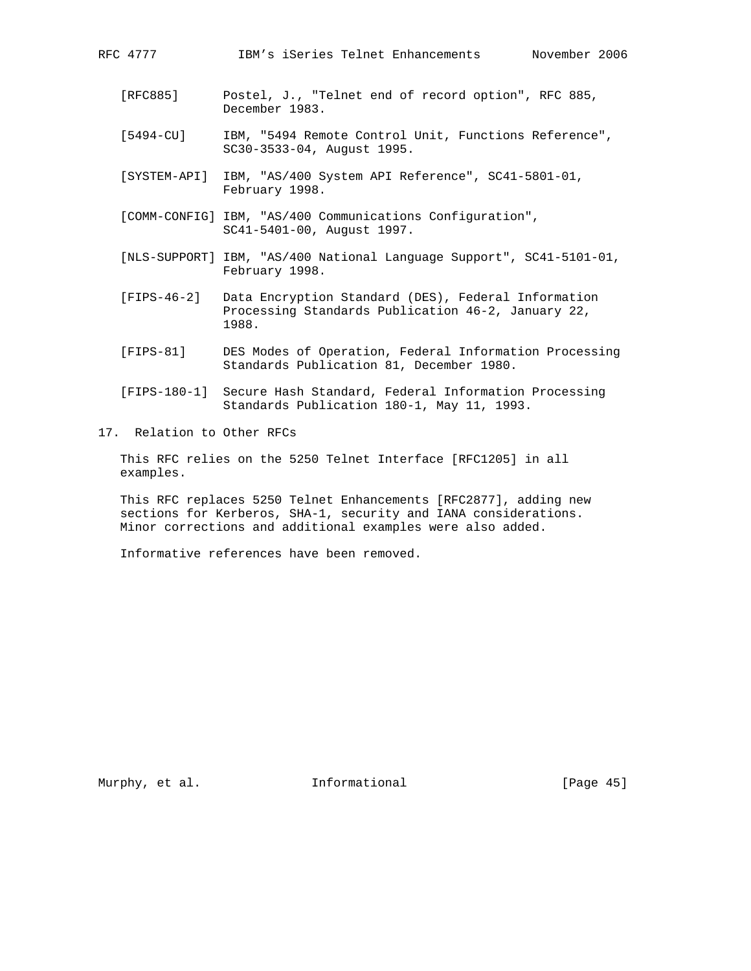RFC 4777 IBM's iSeries Telnet Enhancements November 2006

- [5494-CU] IBM, "5494 Remote Control Unit, Functions Reference", SC30-3533-04, August 1995.
- [SYSTEM-API] IBM, "AS/400 System API Reference", SC41-5801-01, February 1998.
- [COMM-CONFIG] IBM, "AS/400 Communications Configuration", SC41-5401-00, August 1997.
- [NLS-SUPPORT] IBM, "AS/400 National Language Support", SC41-5101-01, February 1998.
- [FIPS-46-2] Data Encryption Standard (DES), Federal Information Processing Standards Publication 46-2, January 22, 1988.
- [FIPS-81] DES Modes of Operation, Federal Information Processing Standards Publication 81, December 1980.
- [FIPS-180-1] Secure Hash Standard, Federal Information Processing Standards Publication 180-1, May 11, 1993.
- 17. Relation to Other RFCs

 This RFC relies on the 5250 Telnet Interface [RFC1205] in all examples.

 This RFC replaces 5250 Telnet Enhancements [RFC2877], adding new sections for Kerberos, SHA-1, security and IANA considerations. Minor corrections and additional examples were also added.

Informative references have been removed.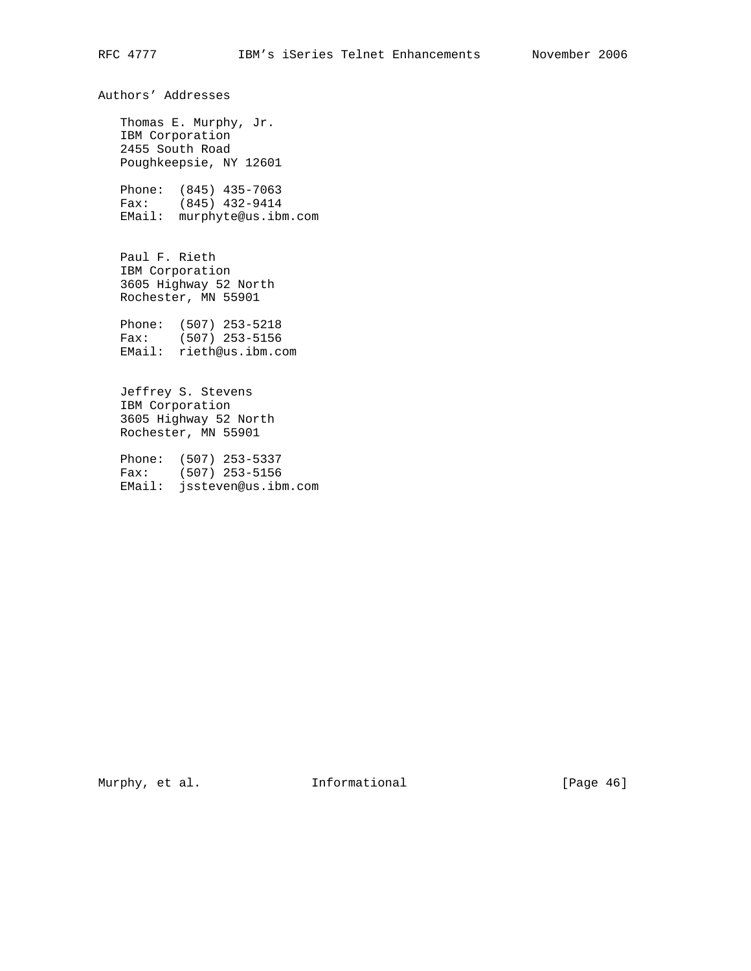Authors' Addresses Thomas E. Murphy, Jr. IBM Corporation 2455 South Road Poughkeepsie, NY 12601 Phone: (845) 435-7063 Fax: (845) 432-9414 EMail: murphyte@us.ibm.com Paul F. Rieth IBM Corporation 3605 Highway 52 North Rochester, MN 55901 Phone: (507) 253-5218 Fax: (507) 253-5156 EMail: rieth@us.ibm.com Jeffrey S. Stevens IBM Corporation 3605 Highway 52 North Rochester, MN 55901

 Phone: (507) 253-5337 Fax: (507) 253-5156 EMail: jssteven@us.ibm.com

Murphy, et al. 1nformational [Page 46]